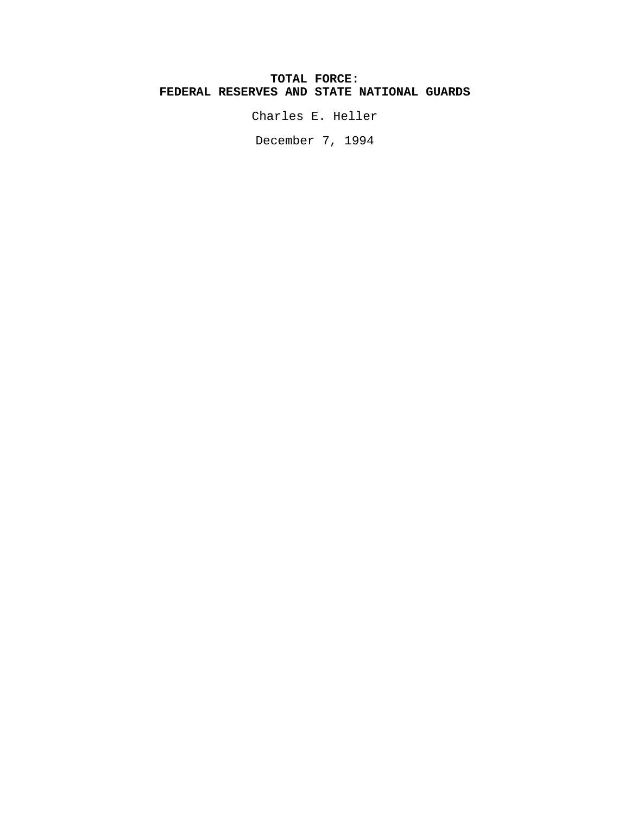## **TOTAL FORCE: FEDERAL RESERVES AND STATE NATIONAL GUARDS**

Charles E. Heller

December 7, 1994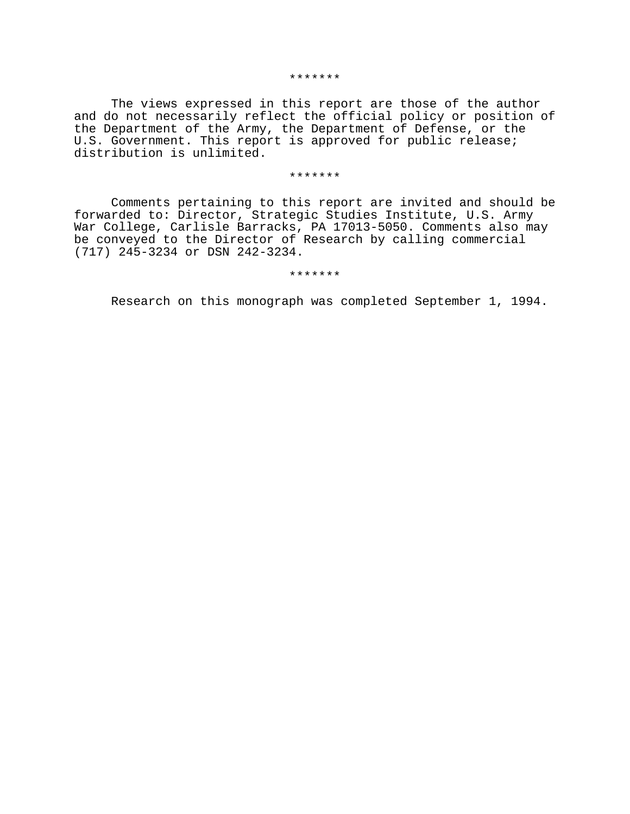#### \*\*\*\*\*\*\*

The views expressed in this report are those of the author and do not necessarily reflect the official policy or position of the Department of the Army, the Department of Defense, or the U.S. Government. This report is approved for public release; distribution is unlimited.

#### \*\*\*\*\*\*\*

Comments pertaining to this report are invited and should be forwarded to: Director, Strategic Studies Institute, U.S. Army War College, Carlisle Barracks, PA 17013-5050. Comments also may be conveyed to the Director of Research by calling commercial (717) 245-3234 or DSN 242-3234.

#### \*\*\*\*\*\*\*

Research on this monograph was completed September 1, 1994.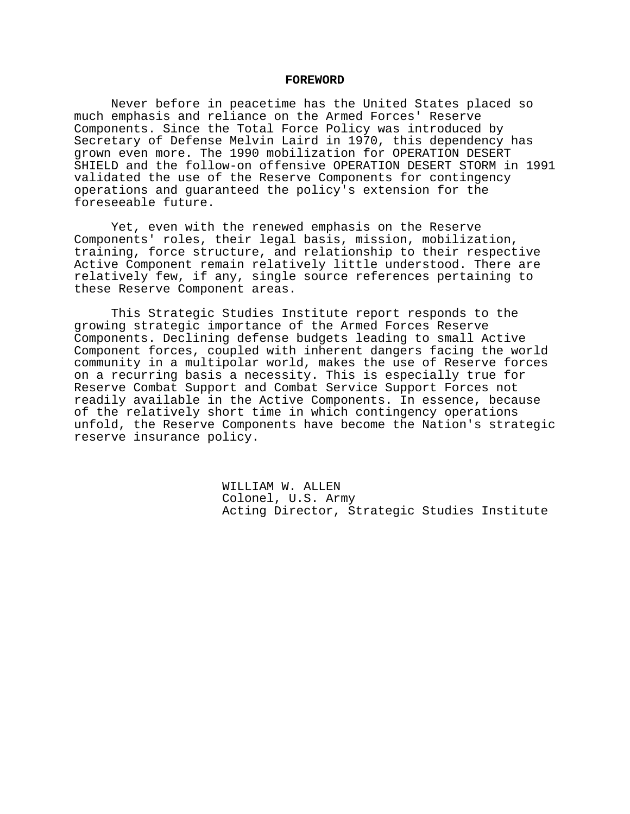#### **FOREWORD**

Never before in peacetime has the United States placed so much emphasis and reliance on the Armed Forces' Reserve Components. Since the Total Force Policy was introduced by Secretary of Defense Melvin Laird in 1970, this dependency has grown even more. The 1990 mobilization for OPERATION DESERT SHIELD and the follow-on offensive OPERATION DESERT STORM in 1991 validated the use of the Reserve Components for contingency operations and guaranteed the policy's extension for the foreseeable future.

Yet, even with the renewed emphasis on the Reserve Components' roles, their legal basis, mission, mobilization, training, force structure, and relationship to their respective Active Component remain relatively little understood. There are relatively few, if any, single source references pertaining to these Reserve Component areas.

This Strategic Studies Institute report responds to the growing strategic importance of the Armed Forces Reserve Components. Declining defense budgets leading to small Active Component forces, coupled with inherent dangers facing the world community in a multipolar world, makes the use of Reserve forces on a recurring basis a necessity. This is especially true for Reserve Combat Support and Combat Service Support Forces not readily available in the Active Components. In essence, because of the relatively short time in which contingency operations unfold, the Reserve Components have become the Nation's strategic reserve insurance policy.

> WILLIAM W. ALLEN Colonel, U.S. Army Acting Director, Strategic Studies Institute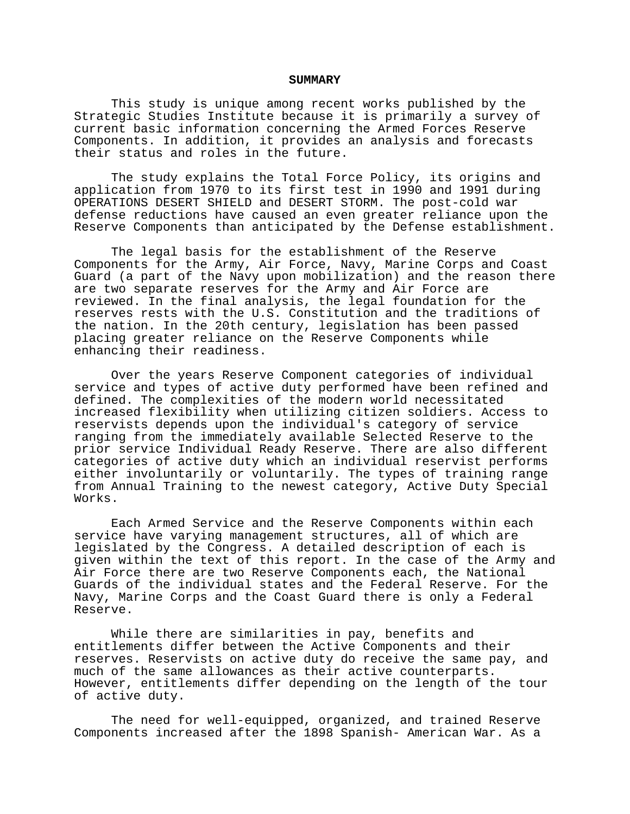#### **SUMMARY**

This study is unique among recent works published by the Strategic Studies Institute because it is primarily a survey of current basic information concerning the Armed Forces Reserve Components. In addition, it provides an analysis and forecasts their status and roles in the future.

The study explains the Total Force Policy, its origins and application from 1970 to its first test in 1990 and 1991 during OPERATIONS DESERT SHIELD and DESERT STORM. The post-cold war defense reductions have caused an even greater reliance upon the Reserve Components than anticipated by the Defense establishment.

The legal basis for the establishment of the Reserve Components for the Army, Air Force, Navy, Marine Corps and Coast Guard (a part of the Navy upon mobilization) and the reason there are two separate reserves for the Army and Air Force are reviewed. In the final analysis, the legal foundation for the reserves rests with the U.S. Constitution and the traditions of the nation. In the 20th century, legislation has been passed placing greater reliance on the Reserve Components while enhancing their readiness.

Over the years Reserve Component categories of individual service and types of active duty performed have been refined and defined. The complexities of the modern world necessitated increased flexibility when utilizing citizen soldiers. Access to reservists depends upon the individual's category of service ranging from the immediately available Selected Reserve to the prior service Individual Ready Reserve. There are also different categories of active duty which an individual reservist performs either involuntarily or voluntarily. The types of training range from Annual Training to the newest category, Active Duty Special Works.

Each Armed Service and the Reserve Components within each service have varying management structures, all of which are legislated by the Congress. A detailed description of each is given within the text of this report. In the case of the Army and Air Force there are two Reserve Components each, the National Guards of the individual states and the Federal Reserve. For the Navy, Marine Corps and the Coast Guard there is only a Federal Reserve.

While there are similarities in pay, benefits and entitlements differ between the Active Components and their reserves. Reservists on active duty do receive the same pay, and much of the same allowances as their active counterparts. However, entitlements differ depending on the length of the tour of active duty.

The need for well-equipped, organized, and trained Reserve Components increased after the 1898 Spanish- American War. As a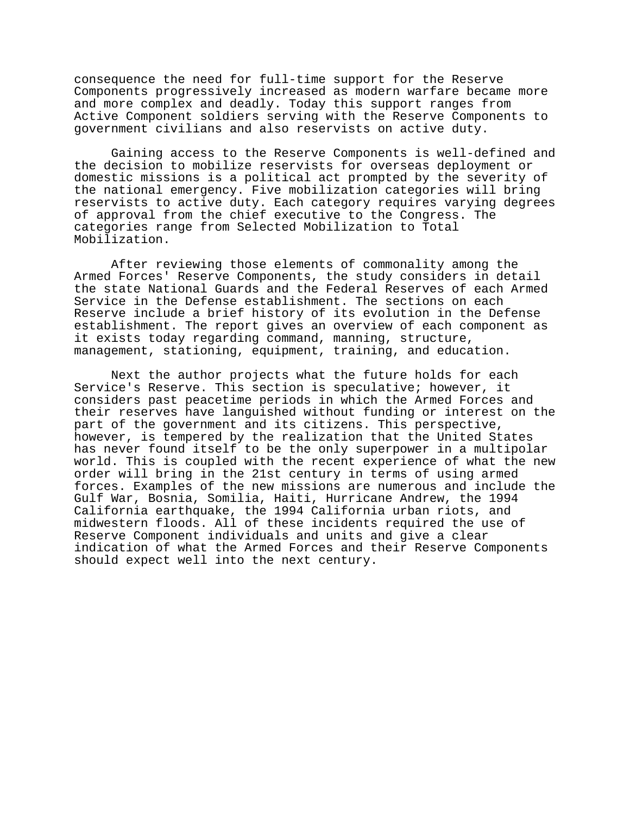consequence the need for full-time support for the Reserve Components progressively increased as modern warfare became more and more complex and deadly. Today this support ranges from Active Component soldiers serving with the Reserve Components to government civilians and also reservists on active duty.

Gaining access to the Reserve Components is well-defined and the decision to mobilize reservists for overseas deployment or domestic missions is a political act prompted by the severity of the national emergency. Five mobilization categories will bring reservists to active duty. Each category requires varying degrees of approval from the chief executive to the Congress. The categories range from Selected Mobilization to Total Mobilization.

After reviewing those elements of commonality among the Armed Forces' Reserve Components, the study considers in detail the state National Guards and the Federal Reserves of each Armed Service in the Defense establishment. The sections on each Reserve include a brief history of its evolution in the Defense establishment. The report gives an overview of each component as it exists today regarding command, manning, structure, management, stationing, equipment, training, and education.

Next the author projects what the future holds for each Service's Reserve. This section is speculative; however, it considers past peacetime periods in which the Armed Forces and their reserves have languished without funding or interest on the part of the government and its citizens. This perspective, however, is tempered by the realization that the United States has never found itself to be the only superpower in a multipolar world. This is coupled with the recent experience of what the new order will bring in the 21st century in terms of using armed forces. Examples of the new missions are numerous and include the Gulf War, Bosnia, Somilia, Haiti, Hurricane Andrew, the 1994 California earthquake, the 1994 California urban riots, and midwestern floods. All of these incidents required the use of Reserve Component individuals and units and give a clear indication of what the Armed Forces and their Reserve Components should expect well into the next century.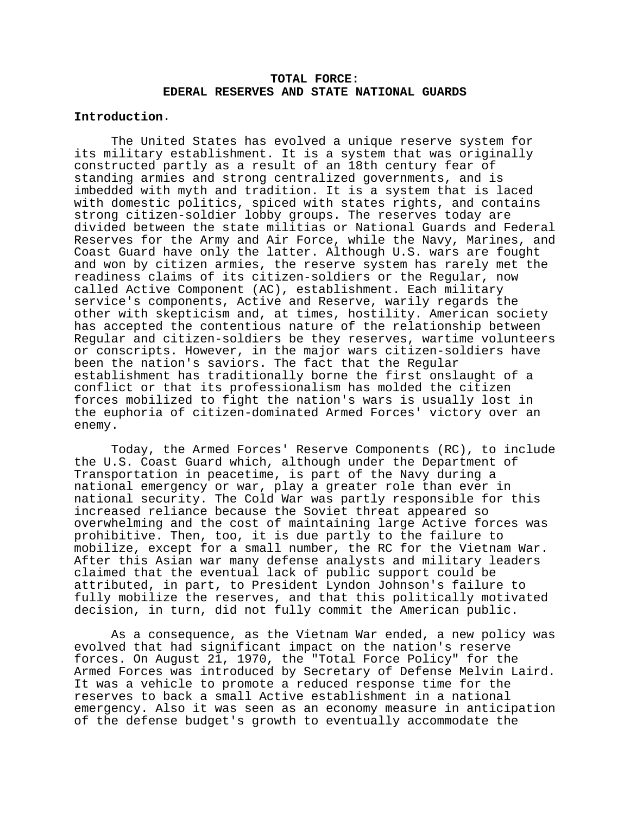## **TOTAL FORCE: EDERAL RESERVES AND STATE NATIONAL GUARDS**

## **Introduction**.

The United States has evolved a unique reserve system for its military establishment. It is a system that was originally constructed partly as a result of an 18th century fear of standing armies and strong centralized governments, and is imbedded with myth and tradition. It is a system that is laced with domestic politics, spiced with states rights, and contains strong citizen-soldier lobby groups. The reserves today are divided between the state militias or National Guards and Federal Reserves for the Army and Air Force, while the Navy, Marines, and Coast Guard have only the latter. Although U.S. wars are fought and won by citizen armies, the reserve system has rarely met the readiness claims of its citizen-soldiers or the Regular, now called Active Component (AC), establishment. Each military service's components, Active and Reserve, warily regards the other with skepticism and, at times, hostility. American society has accepted the contentious nature of the relationship between Regular and citizen-soldiers be they reserves, wartime volunteers or conscripts. However, in the major wars citizen-soldiers have been the nation's saviors. The fact that the Regular establishment has traditionally borne the first onslaught of a conflict or that its professionalism has molded the citizen forces mobilized to fight the nation's wars is usually lost in the euphoria of citizen-dominated Armed Forces' victory over an enemy.

Today, the Armed Forces' Reserve Components (RC), to include the U.S. Coast Guard which, although under the Department of Transportation in peacetime, is part of the Navy during a national emergency or war, play a greater role than ever in national security. The Cold War was partly responsible for this increased reliance because the Soviet threat appeared so overwhelming and the cost of maintaining large Active forces was prohibitive. Then, too, it is due partly to the failure to mobilize, except for a small number, the RC for the Vietnam War. After this Asian war many defense analysts and military leaders claimed that the eventual lack of public support could be attributed, in part, to President Lyndon Johnson's failure to fully mobilize the reserves, and that this politically motivated decision, in turn, did not fully commit the American public.

As a consequence, as the Vietnam War ended, a new policy was evolved that had significant impact on the nation's reserve forces. On August 21, 1970, the "Total Force Policy" for the Armed Forces was introduced by Secretary of Defense Melvin Laird. It was a vehicle to promote a reduced response time for the reserves to back a small Active establishment in a national emergency. Also it was seen as an economy measure in anticipation of the defense budget's growth to eventually accommodate the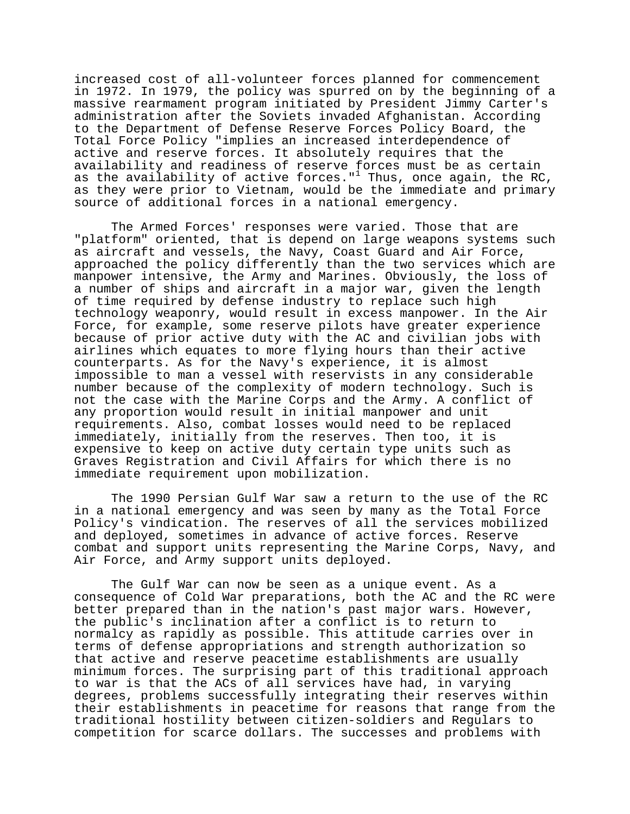increased cost of all-volunteer forces planned for commencement in 1972. In 1979, the policy was spurred on by the beginning of a massive rearmament program initiated by President Jimmy Carter's administration after the Soviets invaded Afghanistan. According to the Department of Defense Reserve Forces Policy Board, the Total Force Policy "implies an increased interdependence of active and reserve forces. It absolutely requires that the availability and readiness of reserve forces must be as certain as the availability of active forces."<sup>1</sup> Thus, once again, the RC, as they were prior to Vietnam, would be the immediate and primary source of additional forces in a national emergency.

The Armed Forces' responses were varied. Those that are "platform" oriented, that is depend on large weapons systems such as aircraft and vessels, the Navy, Coast Guard and Air Force, approached the policy differently than the two services which are manpower intensive, the Army and Marines. Obviously, the loss of a number of ships and aircraft in a major war, given the length of time required by defense industry to replace such high technology weaponry, would result in excess manpower. In the Air Force, for example, some reserve pilots have greater experience because of prior active duty with the AC and civilian jobs with airlines which equates to more flying hours than their active counterparts. As for the Navy's experience, it is almost impossible to man a vessel with reservists in any considerable number because of the complexity of modern technology. Such is not the case with the Marine Corps and the Army. A conflict of any proportion would result in initial manpower and unit requirements. Also, combat losses would need to be replaced immediately, initially from the reserves. Then too, it is expensive to keep on active duty certain type units such as Graves Registration and Civil Affairs for which there is no immediate requirement upon mobilization.

The 1990 Persian Gulf War saw a return to the use of the RC in a national emergency and was seen by many as the Total Force Policy's vindication. The reserves of all the services mobilized and deployed, sometimes in advance of active forces. Reserve combat and support units representing the Marine Corps, Navy, and Air Force, and Army support units deployed.

The Gulf War can now be seen as a unique event. As a consequence of Cold War preparations, both the AC and the RC were better prepared than in the nation's past major wars. However, the public's inclination after a conflict is to return to normalcy as rapidly as possible. This attitude carries over in terms of defense appropriations and strength authorization so that active and reserve peacetime establishments are usually minimum forces. The surprising part of this traditional approach to war is that the ACs of all services have had, in varying degrees, problems successfully integrating their reserves within their establishments in peacetime for reasons that range from the traditional hostility between citizen-soldiers and Regulars to competition for scarce dollars. The successes and problems with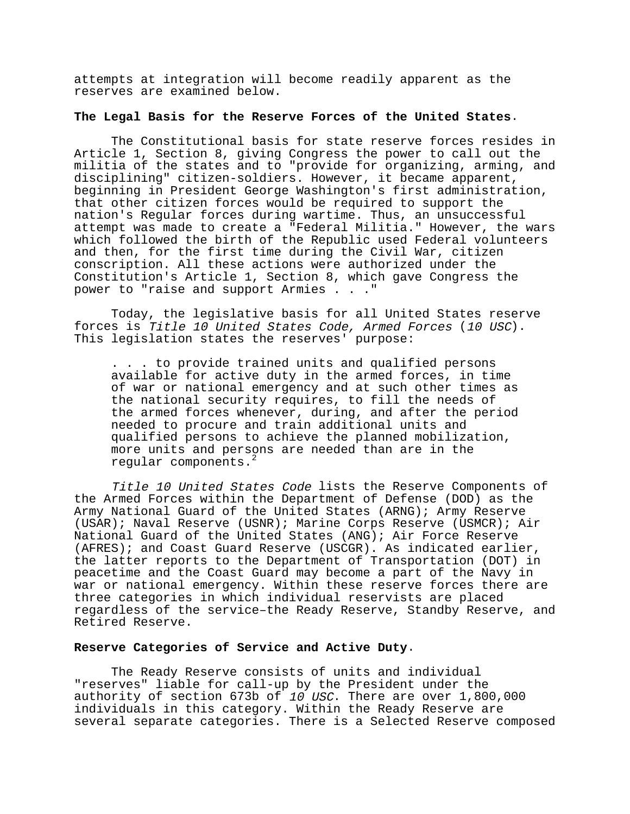attempts at integration will become readily apparent as the reserves are examined below.

#### **The Legal Basis for the Reserve Forces of the United States**.

The Constitutional basis for state reserve forces resides in Article 1, Section 8, giving Congress the power to call out the militia of the states and to "provide for organizing, arming, and disciplining" citizen-soldiers. However, it became apparent, beginning in President George Washington's first administration, that other citizen forces would be required to support the nation's Regular forces during wartime. Thus, an unsuccessful attempt was made to create a "Federal Militia." However, the wars which followed the birth of the Republic used Federal volunteers and then, for the first time during the Civil War, citizen conscription. All these actions were authorized under the Constitution's Article 1, Section 8, which gave Congress the power to "raise and support Armies . . ."

Today, the legislative basis for all United States reserve forces is Title 10 United States Code, Armed Forces (10 USC). This legislation states the reserves' purpose:

. . . to provide trained units and qualified persons available for active duty in the armed forces, in time of war or national emergency and at such other times as the national security requires, to fill the needs of the armed forces whenever, during, and after the period needed to procure and train additional units and qualified persons to achieve the planned mobilization, more units and persons are needed than are in the regular components.<sup>2</sup>

Title 10 United States Code lists the Reserve Components of the Armed Forces within the Department of Defense (DOD) as the Army National Guard of the United States (ARNG); Army Reserve (USAR); Naval Reserve (USNR); Marine Corps Reserve (USMCR); Air National Guard of the United States (ANG); Air Force Reserve (AFRES); and Coast Guard Reserve (USCGR). As indicated earlier, the latter reports to the Department of Transportation (DOT) in peacetime and the Coast Guard may become a part of the Navy in war or national emergency. Within these reserve forces there are three categories in which individual reservists are placed regardless of the service–the Ready Reserve, Standby Reserve, and Retired Reserve.

#### **Reserve Categories of Service and Active Duty**.

The Ready Reserve consists of units and individual "reserves" liable for call-up by the President under the authority of section 673b of 10 USC. There are over 1,800,000 individuals in this category. Within the Ready Reserve are several separate categories. There is a Selected Reserve composed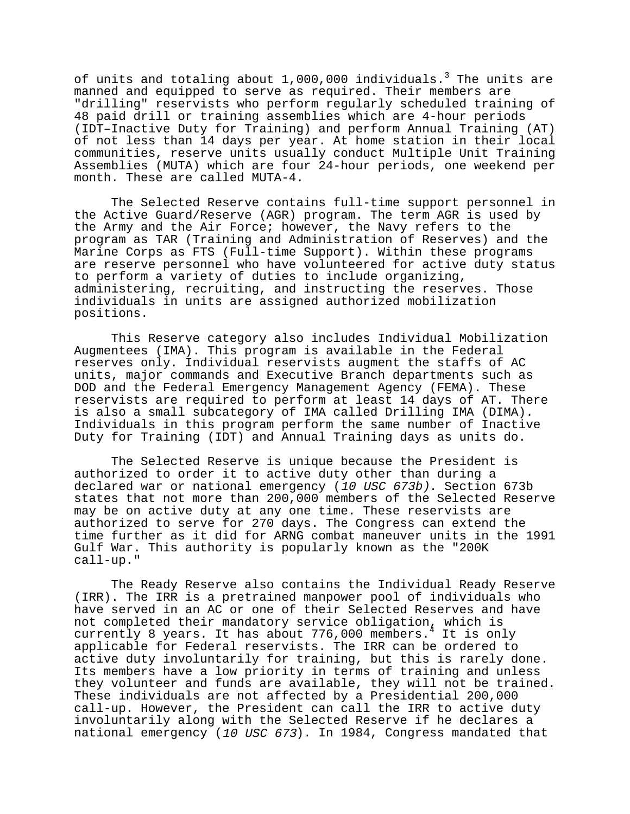of units and totaling about  $1,000$ ,000 individuals. $^3$  The units are manned and equipped to serve as required. Their members are "drilling" reservists who perform regularly scheduled training of 48 paid drill or training assemblies which are 4-hour periods (IDT–Inactive Duty for Training) and perform Annual Training (AT) of not less than 14 days per year. At home station in their local communities, reserve units usually conduct Multiple Unit Training Assemblies (MUTA) which are four 24-hour periods, one weekend per month. These are called MUTA-4.

The Selected Reserve contains full-time support personnel in the Active Guard/Reserve (AGR) program. The term AGR is used by the Army and the Air Force; however, the Navy refers to the program as TAR (Training and Administration of Reserves) and the Marine Corps as FTS (Full-time Support). Within these programs are reserve personnel who have volunteered for active duty status to perform a variety of duties to include organizing, administering, recruiting, and instructing the reserves. Those individuals in units are assigned authorized mobilization positions.

This Reserve category also includes Individual Mobilization Augmentees (IMA). This program is available in the Federal reserves only. Individual reservists augment the staffs of AC units, major commands and Executive Branch departments such as DOD and the Federal Emergency Management Agency (FEMA). These reservists are required to perform at least 14 days of AT. There is also a small subcategory of IMA called Drilling IMA (DIMA). Individuals in this program perform the same number of Inactive Duty for Training (IDT) and Annual Training days as units do.

The Selected Reserve is unique because the President is authorized to order it to active duty other than during a declared war or national emergency (10 USC 673b). Section 673b states that not more than 200,000 members of the Selected Reserve may be on active duty at any one time. These reservists are authorized to serve for 270 days. The Congress can extend the time further as it did for ARNG combat maneuver units in the 1991 Gulf War. This authority is popularly known as the "200K call-up."

The Ready Reserve also contains the Individual Ready Reserve (IRR). The IRR is a pretrained manpower pool of individuals who have served in an AC or one of their Selected Reserves and have not completed their mandatory service obligation, which is currently 8 years. It has about 776,000 members.<sup>4</sup> It is only applicable for Federal reservists. The IRR can be ordered to active duty involuntarily for training, but this is rarely done. Its members have a low priority in terms of training and unless they volunteer and funds are available, they will not be trained. These individuals are not affected by a Presidential 200,000 call-up. However, the President can call the IRR to active duty involuntarily along with the Selected Reserve if he declares a national emergency (10 USC 673). In 1984, Congress mandated that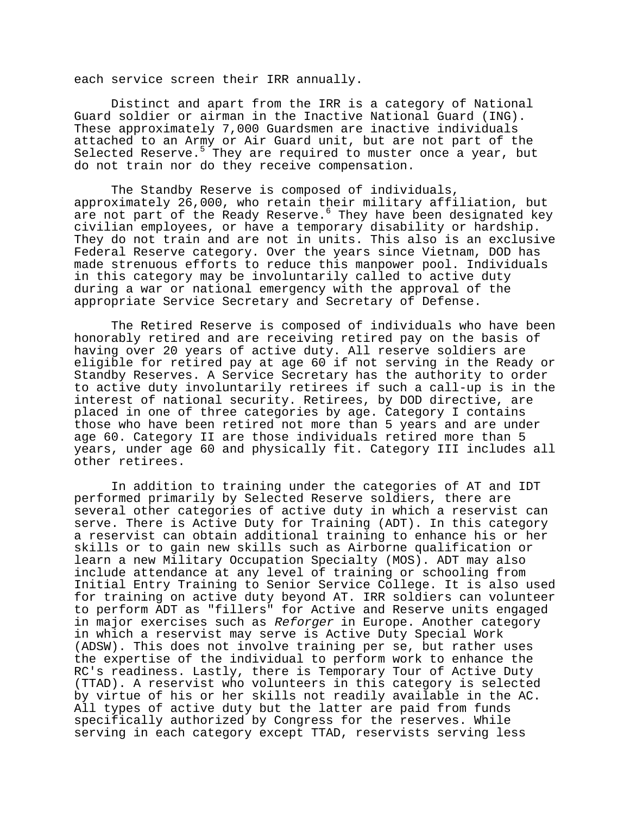each service screen their IRR annually.

Distinct and apart from the IRR is a category of National Guard soldier or airman in the Inactive National Guard (ING). These approximately 7,000 Guardsmen are inactive individuals attached to an Army or Air Guard unit, but are not part of the Selected Reserve.<sup>5</sup> They are required to muster once a year, but do not train nor do they receive compensation.

The Standby Reserve is composed of individuals, approximately 26,000, who retain their military affiliation, but are not part of the Ready Reserve. They have been designated key civilian employees, or have a temporary disability or hardship. They do not train and are not in units. This also is an exclusive Federal Reserve category. Over the years since Vietnam, DOD has made strenuous efforts to reduce this manpower pool. Individuals in this category may be involuntarily called to active duty during a war or national emergency with the approval of the appropriate Service Secretary and Secretary of Defense.

The Retired Reserve is composed of individuals who have been honorably retired and are receiving retired pay on the basis of having over 20 years of active duty. All reserve soldiers are eligible for retired pay at age 60 if not serving in the Ready or Standby Reserves. A Service Secretary has the authority to order to active duty involuntarily retirees if such a call-up is in the interest of national security. Retirees, by DOD directive, are placed in one of three categories by age. Category I contains those who have been retired not more than 5 years and are under age 60. Category II are those individuals retired more than 5 years, under age 60 and physically fit. Category III includes all other retirees.

In addition to training under the categories of AT and IDT performed primarily by Selected Reserve soldiers, there are several other categories of active duty in which a reservist can serve. There is Active Duty for Training (ADT). In this category a reservist can obtain additional training to enhance his or her skills or to gain new skills such as Airborne qualification or learn a new Military Occupation Specialty (MOS). ADT may also include attendance at any level of training or schooling from Initial Entry Training to Senior Service College. It is also used for training on active duty beyond AT. IRR soldiers can volunteer to perform ADT as "fillers" for Active and Reserve units engaged in major exercises such as Reforger in Europe. Another category in which a reservist may serve is Active Duty Special Work (ADSW). This does not involve training per se, but rather uses the expertise of the individual to perform work to enhance the RC's readiness. Lastly, there is Temporary Tour of Active Duty (TTAD). A reservist who volunteers in this category is selected by virtue of his or her skills not readily available in the AC. All types of active duty but the latter are paid from funds specifically authorized by Congress for the reserves. While serving in each category except TTAD, reservists serving less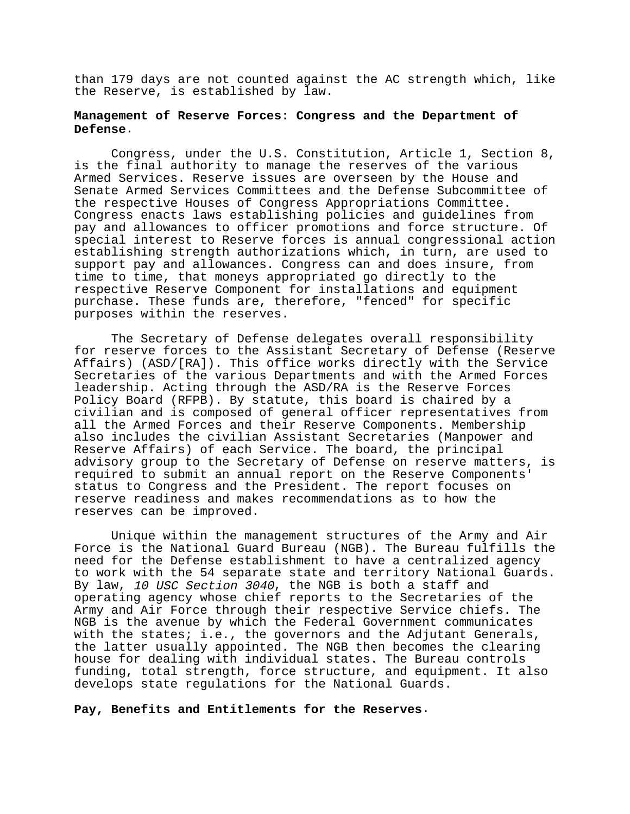than 179 days are not counted against the AC strength which, like the Reserve, is established by law.

## **Management of Reserve Forces: Congress and the Department of Defense**.

Congress, under the U.S. Constitution, Article 1, Section 8, is the final authority to manage the reserves of the various Armed Services. Reserve issues are overseen by the House and Senate Armed Services Committees and the Defense Subcommittee of the respective Houses of Congress Appropriations Committee. Congress enacts laws establishing policies and guidelines from pay and allowances to officer promotions and force structure. Of special interest to Reserve forces is annual congressional action establishing strength authorizations which, in turn, are used to support pay and allowances. Congress can and does insure, from time to time, that moneys appropriated go directly to the respective Reserve Component for installations and equipment purchase. These funds are, therefore, "fenced" for specific purposes within the reserves.

The Secretary of Defense delegates overall responsibility for reserve forces to the Assistant Secretary of Defense (Reserve Affairs) (ASD/[RA]). This office works directly with the Service Secretaries of the various Departments and with the Armed Forces leadership. Acting through the ASD/RA is the Reserve Forces Policy Board (RFPB). By statute, this board is chaired by a civilian and is composed of general officer representatives from all the Armed Forces and their Reserve Components. Membership also includes the civilian Assistant Secretaries (Manpower and Reserve Affairs) of each Service. The board, the principal advisory group to the Secretary of Defense on reserve matters, is required to submit an annual report on the Reserve Components' status to Congress and the President. The report focuses on reserve readiness and makes recommendations as to how the reserves can be improved.

Unique within the management structures of the Army and Air Force is the National Guard Bureau (NGB). The Bureau fulfills the need for the Defense establishment to have a centralized agency to work with the 54 separate state and territory National Guards. By law, 10 USC Section 3040, the NGB is both a staff and operating agency whose chief reports to the Secretaries of the Army and Air Force through their respective Service chiefs. The NGB is the avenue by which the Federal Government communicates with the states; i.e., the governors and the Adjutant Generals, the latter usually appointed. The NGB then becomes the clearing house for dealing with individual states. The Bureau controls funding, total strength, force structure, and equipment. It also develops state regulations for the National Guards.

## **Pay, Benefits and Entitlements for the Reserves**.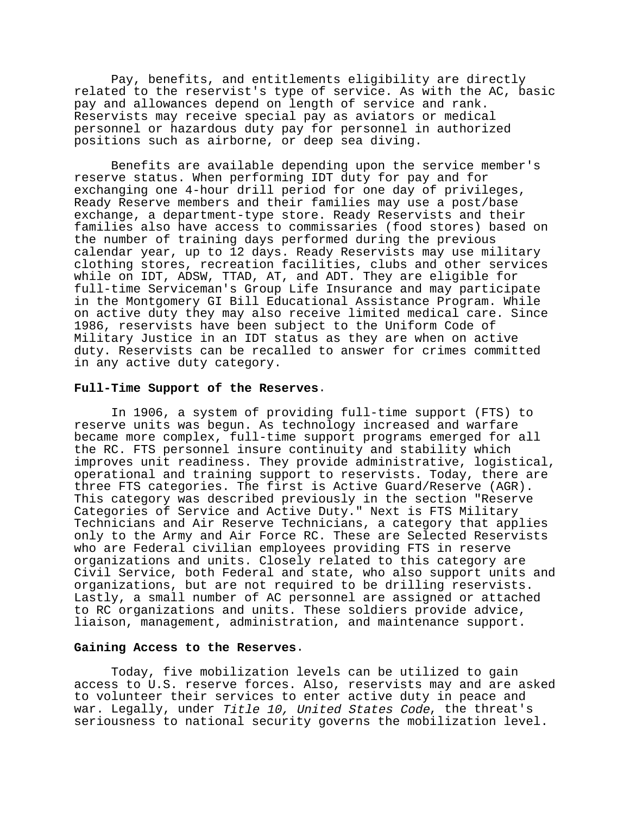Pay, benefits, and entitlements eligibility are directly related to the reservist's type of service. As with the AC, basic pay and allowances depend on length of service and rank. Reservists may receive special pay as aviators or medical personnel or hazardous duty pay for personnel in authorized positions such as airborne, or deep sea diving.

Benefits are available depending upon the service member's reserve status. When performing IDT duty for pay and for exchanging one 4-hour drill period for one day of privileges, Ready Reserve members and their families may use a post/base exchange, a department-type store. Ready Reservists and their families also have access to commissaries (food stores) based on the number of training days performed during the previous calendar year, up to 12 days. Ready Reservists may use military clothing stores, recreation facilities, clubs and other services while on IDT, ADSW, TTAD, AT, and ADT. They are eligible for full-time Serviceman's Group Life Insurance and may participate in the Montgomery GI Bill Educational Assistance Program. While on active duty they may also receive limited medical care. Since 1986, reservists have been subject to the Uniform Code of Military Justice in an IDT status as they are when on active duty. Reservists can be recalled to answer for crimes committed in any active duty category.

#### **Full-Time Support of the Reserves**.

In 1906, a system of providing full-time support (FTS) to reserve units was begun. As technology increased and warfare became more complex, full-time support programs emerged for all the RC. FTS personnel insure continuity and stability which improves unit readiness. They provide administrative, logistical, operational and training support to reservists. Today, there are three FTS categories. The first is Active Guard/Reserve (AGR). This category was described previously in the section "Reserve Categories of Service and Active Duty." Next is FTS Military Technicians and Air Reserve Technicians, a category that applies only to the Army and Air Force RC. These are Selected Reservists who are Federal civilian employees providing FTS in reserve organizations and units. Closely related to this category are Civil Service, both Federal and state, who also support units and organizations, but are not required to be drilling reservists. Lastly, a small number of AC personnel are assigned or attached to RC organizations and units. These soldiers provide advice, liaison, management, administration, and maintenance support.

#### **Gaining Access to the Reserves**.

Today, five mobilization levels can be utilized to gain access to U.S. reserve forces. Also, reservists may and are asked to volunteer their services to enter active duty in peace and war. Legally, under Title 10, United States Code, the threat's seriousness to national security governs the mobilization level.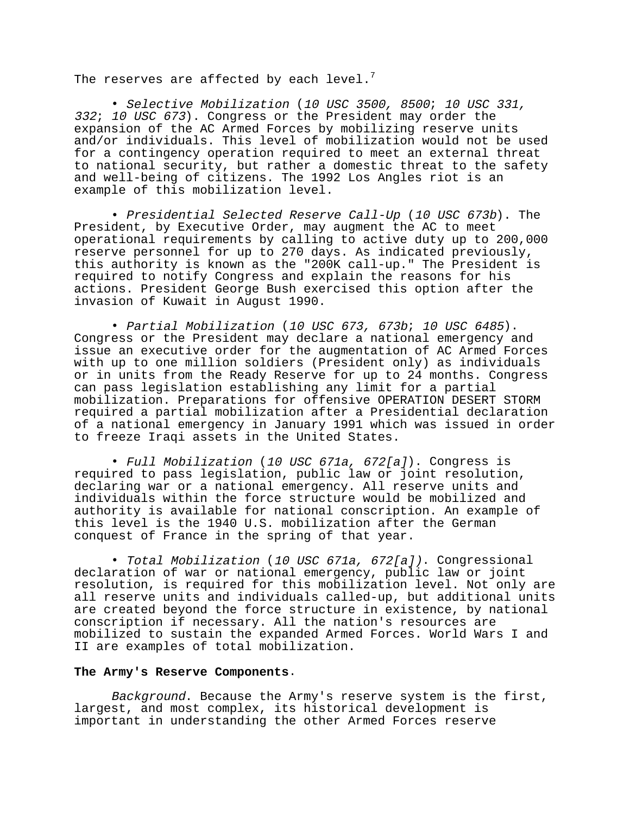The reserves are affected by each level. $<sup>7</sup>$ </sup>

• Selective Mobilization (10 USC 3500, 8500; 10 USC 331, <sup>332</sup>; 10 USC 673). Congress or the President may order the expansion of the AC Armed Forces by mobilizing reserve units and/or individuals. This level of mobilization would not be used for a contingency operation required to meet an external threat to national security, but rather a domestic threat to the safety and well-being of citizens. The 1992 Los Angles riot is an example of this mobilization level.

• Presidential Selected Reserve Call-Up (10 USC 673b). The President, by Executive Order, may augment the AC to meet operational requirements by calling to active duty up to 200,000 reserve personnel for up to 270 days. As indicated previously, this authority is known as the "200K call-up." The President is required to notify Congress and explain the reasons for his actions. President George Bush exercised this option after the invasion of Kuwait in August 1990.

• Partial Mobilization (10 USC 673, 673b; 10 USC 6485). Congress or the President may declare a national emergency and issue an executive order for the augmentation of AC Armed Forces with up to one million soldiers (President only) as individuals or in units from the Ready Reserve for up to 24 months. Congress can pass legislation establishing any limit for a partial mobilization. Preparations for offensive OPERATION DESERT STORM required a partial mobilization after a Presidential declaration of a national emergency in January 1991 which was issued in order to freeze Iraqi assets in the United States.

• Full Mobilization (10 USC 671a, 672[a]). Congress is required to pass legislation, public law or joint resolution, declaring war or a national emergency. All reserve units and individuals within the force structure would be mobilized and authority is available for national conscription. An example of this level is the 1940 U.S. mobilization after the German conquest of France in the spring of that year.

• Total Mobilization (10 USC 671a, 672[a]). Congressional declaration of war or national emergency, public law or joint resolution, is required for this mobilization level. Not only are all reserve units and individuals called-up, but additional units are created beyond the force structure in existence, by national conscription if necessary. All the nation's resources are mobilized to sustain the expanded Armed Forces. World Wars I and II are examples of total mobilization.

#### **The Army's Reserve Components**.

Background. Because the Army's reserve system is the first, largest, and most complex, its historical development is important in understanding the other Armed Forces reserve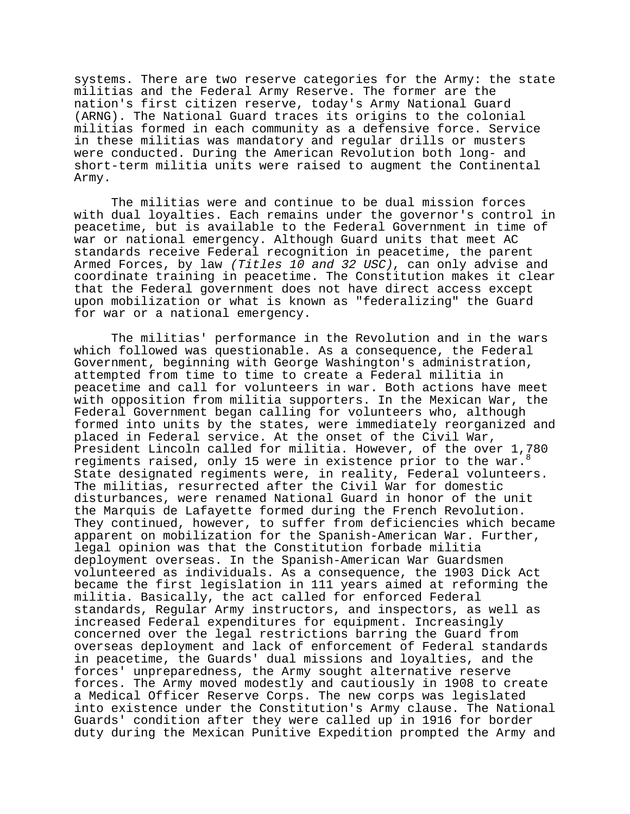systems. There are two reserve categories for the Army: the state militias and the Federal Army Reserve. The former are the nation's first citizen reserve, today's Army National Guard (ARNG). The National Guard traces its origins to the colonial militias formed in each community as a defensive force. Service in these militias was mandatory and regular drills or musters were conducted. During the American Revolution both long- and short-term militia units were raised to augment the Continental Army.

The militias were and continue to be dual mission forces with dual loyalties. Each remains under the governor's control in peacetime, but is available to the Federal Government in time of war or national emergency. Although Guard units that meet AC standards receive Federal recognition in peacetime, the parent Armed Forces, by law (Titles 10 and 32 USC), can only advise and coordinate training in peacetime. The Constitution makes it clear that the Federal government does not have direct access except upon mobilization or what is known as "federalizing" the Guard for war or a national emergency.

The militias' performance in the Revolution and in the wars which followed was questionable. As a consequence, the Federal Government, beginning with George Washington's administration, attempted from time to time to create a Federal militia in peacetime and call for volunteers in war. Both actions have meet with opposition from militia supporters. In the Mexican War, the Federal Government began calling for volunteers who, although formed into units by the states, were immediately reorganized and placed in Federal service. At the onset of the Civil War, President Lincoln called for militia. However, of the over 1,780 regiments raised, only 15 were in existence prior to the war. State designated regiments were, in reality, Federal volunteers. The militias, resurrected after the Civil War for domestic disturbances, were renamed National Guard in honor of the unit the Marquis de Lafayette formed during the French Revolution. They continued, however, to suffer from deficiencies which became apparent on mobilization for the Spanish-American War. Further, legal opinion was that the Constitution forbade militia deployment overseas. In the Spanish-American War Guardsmen volunteered as individuals. As a consequence, the 1903 Dick Act became the first legislation in 111 years aimed at reforming the militia. Basically, the act called for enforced Federal standards, Regular Army instructors, and inspectors, as well as increased Federal expenditures for equipment. Increasingly concerned over the legal restrictions barring the Guard from overseas deployment and lack of enforcement of Federal standards in peacetime, the Guards' dual missions and loyalties, and the forces' unpreparedness, the Army sought alternative reserve forces. The Army moved modestly and cautiously in 1908 to create a Medical Officer Reserve Corps. The new corps was legislated into existence under the Constitution's Army clause. The National Guards' condition after they were called up in 1916 for border duty during the Mexican Punitive Expedition prompted the Army and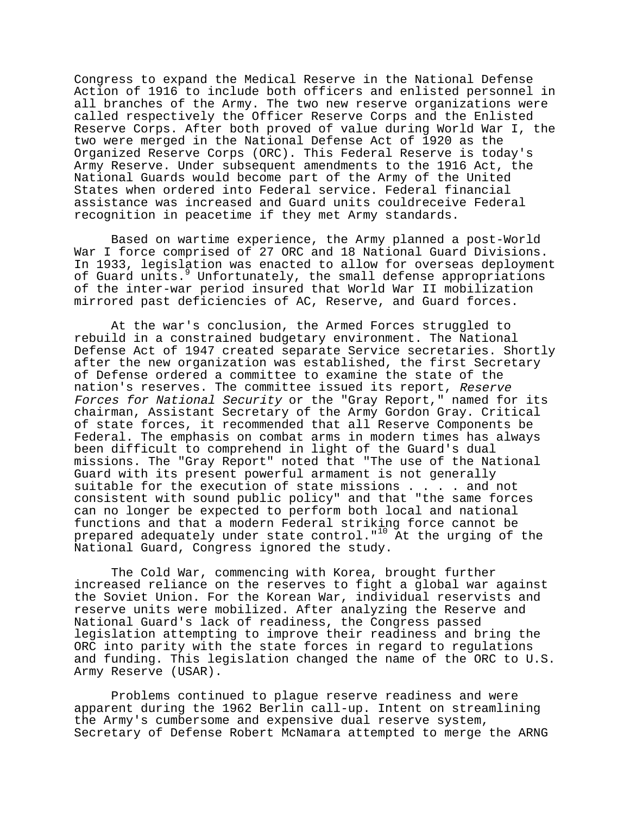Congress to expand the Medical Reserve in the National Defense Action of 1916 to include both officers and enlisted personnel in all branches of the Army. The two new reserve organizations were called respectively the Officer Reserve Corps and the Enlisted Reserve Corps. After both proved of value during World War I, the two were merged in the National Defense Act of 1920 as the Organized Reserve Corps (ORC). This Federal Reserve is today's Army Reserve. Under subsequent amendments to the 1916 Act, the National Guards would become part of the Army of the United States when ordered into Federal service. Federal financial assistance was increased and Guard units couldreceive Federal recognition in peacetime if they met Army standards.

Based on wartime experience, the Army planned a post-World War I force comprised of 27 ORC and 18 National Guard Divisions. In 1933, legislation was enacted to allow for overseas deployment of Guard units.<sup>9</sup> Unfortunately, the small defense appropriations of the inter-war period insured that World War II mobilization mirrored past deficiencies of AC, Reserve, and Guard forces.

At the war's conclusion, the Armed Forces struggled to rebuild in a constrained budgetary environment. The National Defense Act of 1947 created separate Service secretaries. Shortly after the new organization was established, the first Secretary of Defense ordered a committee to examine the state of the nation's reserves. The committee issued its report, Reserve Forces for National Security or the "Gray Report," named for its chairman, Assistant Secretary of the Army Gordon Gray. Critical of state forces, it recommended that all Reserve Components be Federal. The emphasis on combat arms in modern times has always been difficult to comprehend in light of the Guard's dual missions. The "Gray Report" noted that "The use of the National Guard with its present powerful armament is not generally suitable for the execution of state missions . . . . and not consistent with sound public policy" and that "the same forces can no longer be expected to perform both local and national functions and that a modern Federal striking force cannot be prepared adequately under state control."10 At the urging of the National Guard, Congress ignored the study.

The Cold War, commencing with Korea, brought further increased reliance on the reserves to fight a global war against the Soviet Union. For the Korean War, individual reservists and reserve units were mobilized. After analyzing the Reserve and National Guard's lack of readiness, the Congress passed legislation attempting to improve their readiness and bring the ORC into parity with the state forces in regard to regulations and funding. This legislation changed the name of the ORC to U.S. Army Reserve (USAR).

Problems continued to plague reserve readiness and were apparent during the 1962 Berlin call-up. Intent on streamlining the Army's cumbersome and expensive dual reserve system, Secretary of Defense Robert McNamara attempted to merge the ARNG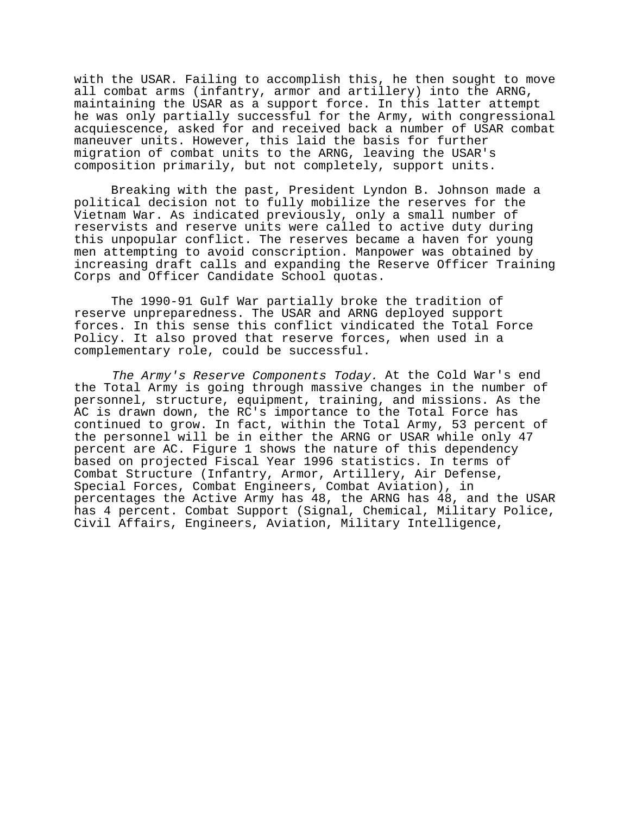with the USAR. Failing to accomplish this, he then sought to move all combat arms (infantry, armor and artillery) into the ARNG, maintaining the USAR as a support force. In this latter attempt he was only partially successful for the Army, with congressional acquiescence, asked for and received back a number of USAR combat maneuver units. However, this laid the basis for further migration of combat units to the ARNG, leaving the USAR's composition primarily, but not completely, support units.

Breaking with the past, President Lyndon B. Johnson made a political decision not to fully mobilize the reserves for the Vietnam War. As indicated previously, only a small number of reservists and reserve units were called to active duty during this unpopular conflict. The reserves became a haven for young men attempting to avoid conscription. Manpower was obtained by increasing draft calls and expanding the Reserve Officer Training Corps and Officer Candidate School quotas.

The 1990-91 Gulf War partially broke the tradition of reserve unpreparedness. The USAR and ARNG deployed support forces. In this sense this conflict vindicated the Total Force Policy. It also proved that reserve forces, when used in a complementary role, could be successful.

The Army's Reserve Components Today. At the Cold War's end the Total Army is going through massive changes in the number of personnel, structure, equipment, training, and missions. As the AC is drawn down, the RC's importance to the Total Force has continued to grow. In fact, within the Total Army, 53 percent of the personnel will be in either the ARNG or USAR while only 47 percent are AC. Figure 1 shows the nature of this dependency based on projected Fiscal Year 1996 statistics. In terms of Combat Structure (Infantry, Armor, Artillery, Air Defense, Special Forces, Combat Engineers, Combat Aviation), in percentages the Active Army has 48, the ARNG has 48, and the USAR has 4 percent. Combat Support (Signal, Chemical, Military Police, Civil Affairs, Engineers, Aviation, Military Intelligence,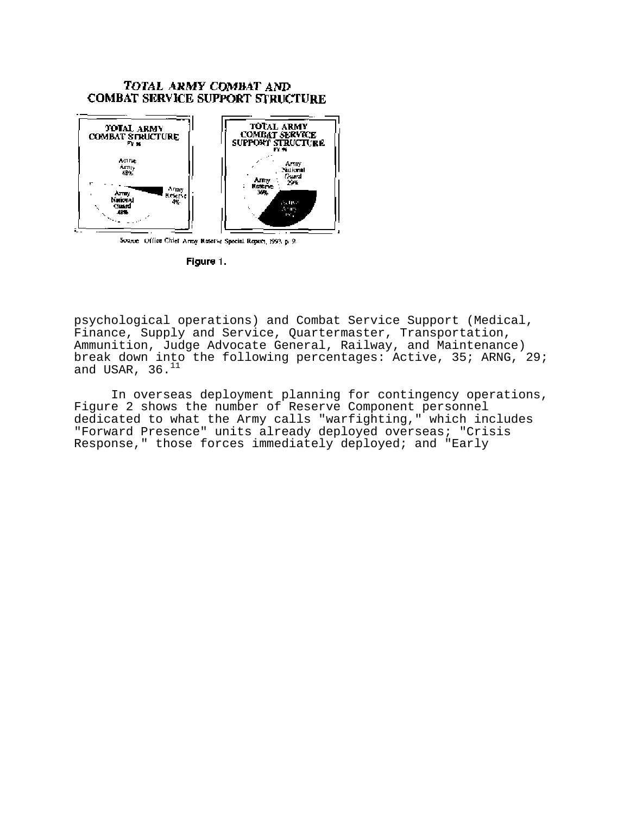## TOTAL ARMY COMBAT AND **COMBAT SERVICE SUPPORT STRUCTURE**



Source: Office Chief Army Reserve Special Report, 1993, p. 9.

Figure 1.

psychological operations) and Combat Service Support (Medical, Finance, Supply and Service, Quartermaster, Transportation, Ammunition, Judge Advocate General, Railway, and Maintenance) break down into the following percentages: Active, 35; ARNG, 29; and USAR,  $36.^{11}$ 

In overseas deployment planning for contingency operations, Figure 2 shows the number of Reserve Component personnel dedicated to what the Army calls "warfighting," which includes "Forward Presence" units already deployed overseas; "Crisis Response," those forces immediately deployed; and "Early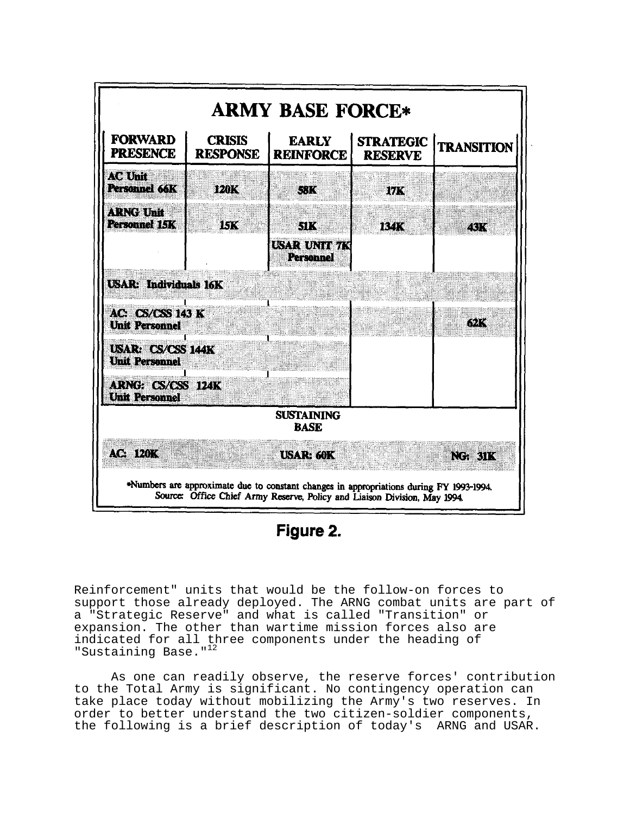

Figure 2.

Reinforcement" units that would be the follow-on forces to support those already deployed. The ARNG combat units are part of a "Strategic Reserve" and what is called "Transition" or expansion. The other than wartime mission forces also are indicated for all three components under the heading of "Sustaining Base."<sup>12</sup>

As one can readily observe, the reserve forces' contribution to the Total Army is significant. No contingency operation can take place today without mobilizing the Army's two reserves. In order to better understand the two citizen-soldier components, the following is a brief description of today's ARNG and USAR.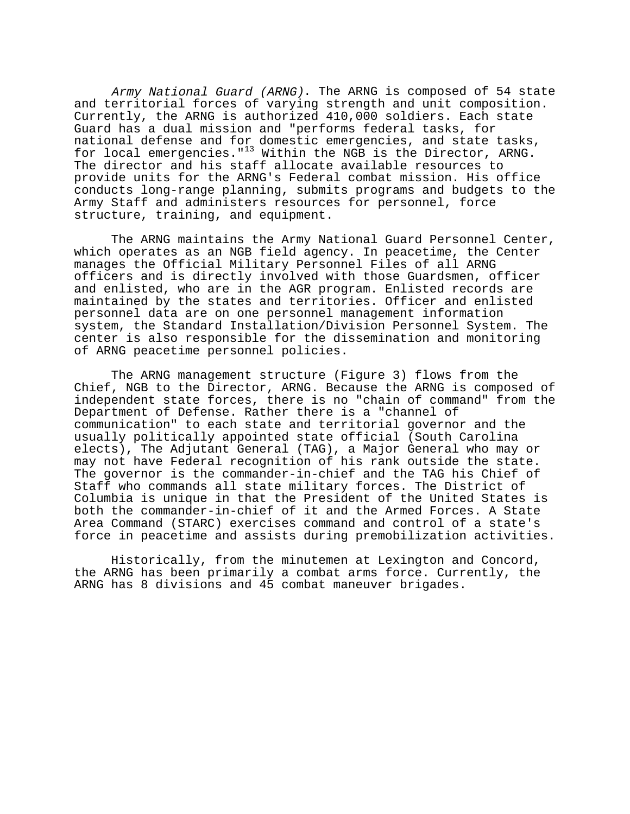Army National Guard (ARNG). The ARNG is composed of 54 state and territorial forces of varying strength and unit composition. Currently, the ARNG is authorized 410,000 soldiers. Each state Guard has a dual mission and "performs federal tasks, for national defense and for domestic emergencies, and state tasks, for local emergencies."<sup>13</sup> Within the NGB is the Director, ARNG. The director and his staff allocate available resources to provide units for the ARNG's Federal combat mission. His office conducts long-range planning, submits programs and budgets to the Army Staff and administers resources for personnel, force structure, training, and equipment.

The ARNG maintains the Army National Guard Personnel Center, which operates as an NGB field agency. In peacetime, the Center manages the Official Military Personnel Files of all ARNG officers and is directly involved with those Guardsmen, officer and enlisted, who are in the AGR program. Enlisted records are maintained by the states and territories. Officer and enlisted personnel data are on one personnel management information system, the Standard Installation/Division Personnel System. The center is also responsible for the dissemination and monitoring of ARNG peacetime personnel policies.

The ARNG management structure (Figure 3) flows from the Chief, NGB to the Director, ARNG. Because the ARNG is composed of independent state forces, there is no "chain of command" from the Department of Defense. Rather there is a "channel of communication" to each state and territorial governor and the usually politically appointed state official (South Carolina elects), The Adjutant General (TAG), a Major General who may or may not have Federal recognition of his rank outside the state. The governor is the commander-in-chief and the TAG his Chief of Staff who commands all state military forces. The District of Columbia is unique in that the President of the United States is both the commander-in-chief of it and the Armed Forces. A State Area Command (STARC) exercises command and control of a state's force in peacetime and assists during premobilization activities.

Historically, from the minutemen at Lexington and Concord, the ARNG has been primarily a combat arms force. Currently, the ARNG has 8 divisions and 45 combat maneuver brigades.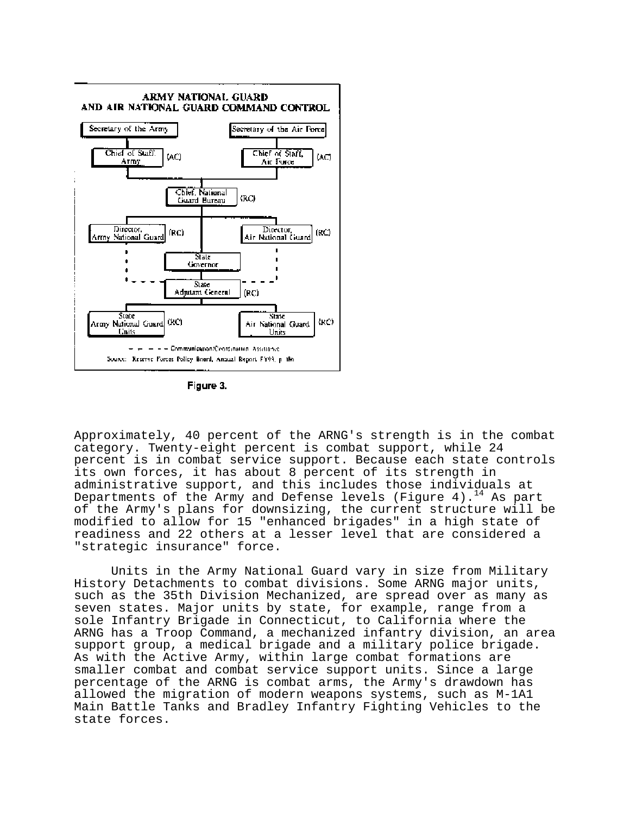

Figure 3.

Approximately, 40 percent of the ARNG's strength is in the combat category. Twenty-eight percent is combat support, while 24 percent is in combat service support. Because each state controls its own forces, it has about 8 percent of its strength in administrative support, and this includes those individuals at Departments of the Army and Defense levels (Figure 4).<sup>14</sup> As part of the Army's plans for downsizing, the current structure will be modified to allow for 15 "enhanced brigades" in a high state of readiness and 22 others at a lesser level that are considered a "strategic insurance" force.

Units in the Army National Guard vary in size from Military History Detachments to combat divisions. Some ARNG major units, such as the 35th Division Mechanized, are spread over as many as seven states. Major units by state, for example, range from a sole Infantry Brigade in Connecticut, to California where the ARNG has a Troop Command, a mechanized infantry division, an area support group, a medical brigade and a military police brigade. As with the Active Army, within large combat formations are smaller combat and combat service support units. Since a large percentage of the ARNG is combat arms, the Army's drawdown has allowed the migration of modern weapons systems, such as M-1A1 Main Battle Tanks and Bradley Infantry Fighting Vehicles to the state forces.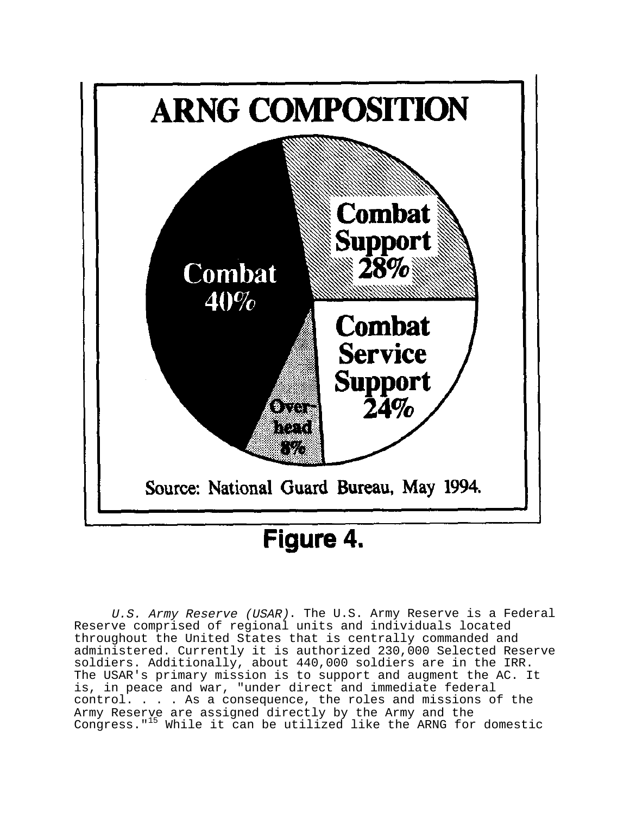

# Figure 4.

U.S. Army Reserve (USAR). The U.S. Army Reserve is a Federal Reserve comprised of regional units and individuals located throughout the United States that is centrally commanded and administered. Currently it is authorized 230,000 Selected Reserve soldiers. Additionally, about 440,000 soldiers are in the IRR. The USAR's primary mission is to support and augment the AC. It is, in peace and war, "under direct and immediate federal control. . . . As a consequence, the roles and missions of the Army Reserve are assigned directly by the Army and the Congress."15 While it can be utilized like the ARNG for domestic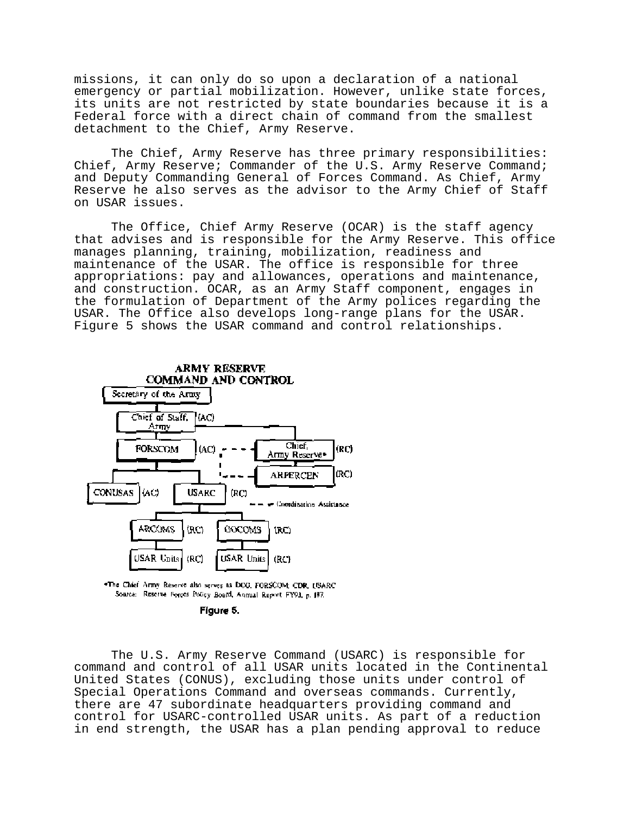missions, it can only do so upon a declaration of a national emergency or partial mobilization. However, unlike state forces, its units are not restricted by state boundaries because it is a Federal force with a direct chain of command from the smallest detachment to the Chief, Army Reserve.

The Chief, Army Reserve has three primary responsibilities: Chief, Army Reserve; Commander of the U.S. Army Reserve Command; and Deputy Commanding General of Forces Command. As Chief, Army Reserve he also serves as the advisor to the Army Chief of Staff on USAR issues.

The Office, Chief Army Reserve (OCAR) is the staff agency that advises and is responsible for the Army Reserve. This office manages planning, training, mobilization, readiness and maintenance of the USAR. The office is responsible for three appropriations: pay and allowances, operations and maintenance, and construction. OCAR, as an Army Staff component, engages in the formulation of Department of the Army polices regarding the USAR. The Office also develops long-range plans for the USAR. Figure 5 shows the USAR command and control relationships.



\*The Chief Army Reserve also serves as DCG, FORSCOM; CDR, I/SARC, Source: Reserve Forces Policy Board, Annual Report FY93, p. 187.

Figure 5.

The U.S. Army Reserve Command (USARC) is responsible for command and control of all USAR units located in the Continental United States (CONUS), excluding those units under control of Special Operations Command and overseas commands. Currently, there are 47 subordinate headquarters providing command and control for USARC-controlled USAR units. As part of a reduction in end strength, the USAR has a plan pending approval to reduce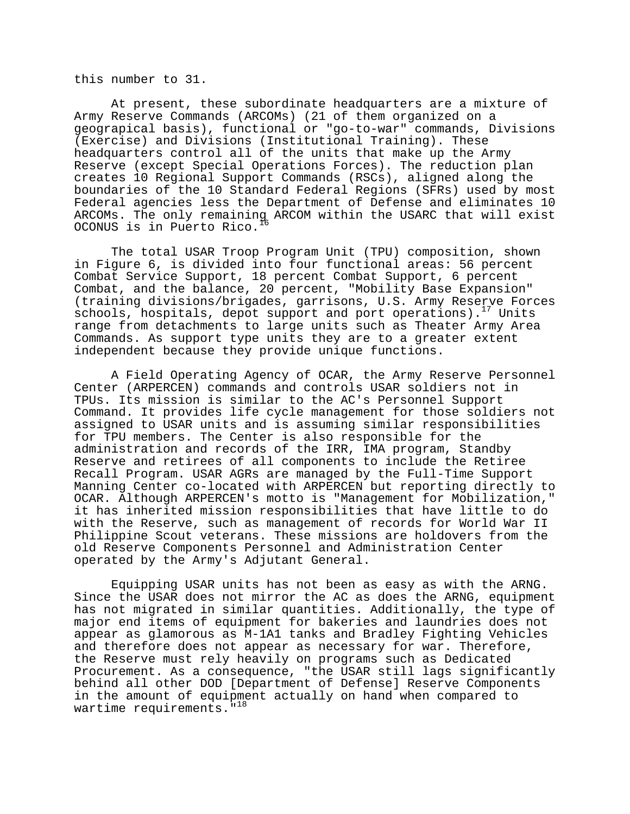this number to 31.

At present, these subordinate headquarters are a mixture of Army Reserve Commands (ARCOMs) (21 of them organized on a geograpical basis), functional or "go-to-war" commands, Divisions (Exercise) and Divisions (Institutional Training). These headquarters control all of the units that make up the Army Reserve (except Special Operations Forces). The reduction plan creates 10 Regional Support Commands (RSCs), aligned along the boundaries of the 10 Standard Federal Regions (SFRs) used by most Federal agencies less the Department of Defense and eliminates 10 ARCOMs. The only remaining ARCOM within the USARC that will exist OCONUS is in Puerto Rico.16

The total USAR Troop Program Unit (TPU) composition, shown in Figure 6, is divided into four functional areas: 56 percent Combat Service Support, 18 percent Combat Support, 6 percent Combat, and the balance, 20 percent, "Mobility Base Expansion" (training divisions/brigades, garrisons, U.S. Army Reserve Forces schools, hospitals, depot support and port operations).<sup>17</sup> Units range from detachments to large units such as Theater Army Area Commands. As support type units they are to a greater extent independent because they provide unique functions.

A Field Operating Agency of OCAR, the Army Reserve Personnel Center (ARPERCEN) commands and controls USAR soldiers not in TPUs. Its mission is similar to the AC's Personnel Support Command. It provides life cycle management for those soldiers not assigned to USAR units and is assuming similar responsibilities for TPU members. The Center is also responsible for the administration and records of the IRR, IMA program, Standby Reserve and retirees of all components to include the Retiree Recall Program. USAR AGRs are managed by the Full-Time Support Manning Center co-located with ARPERCEN but reporting directly to OCAR. Although ARPERCEN's motto is "Management for Mobilization," it has inherited mission responsibilities that have little to do with the Reserve, such as management of records for World War II Philippine Scout veterans. These missions are holdovers from the old Reserve Components Personnel and Administration Center operated by the Army's Adjutant General.

Equipping USAR units has not been as easy as with the ARNG. Since the USAR does not mirror the AC as does the ARNG, equipment has not migrated in similar quantities. Additionally, the type of major end items of equipment for bakeries and laundries does not appear as glamorous as M-1A1 tanks and Bradley Fighting Vehicles and therefore does not appear as necessary for war. Therefore, the Reserve must rely heavily on programs such as Dedicated Procurement. As a consequence, "the USAR still lags significantly behind all other DOD [Department of Defense] Reserve Components in the amount of equipment actually on hand when compared to wartime requirements.<sup>"18</sup>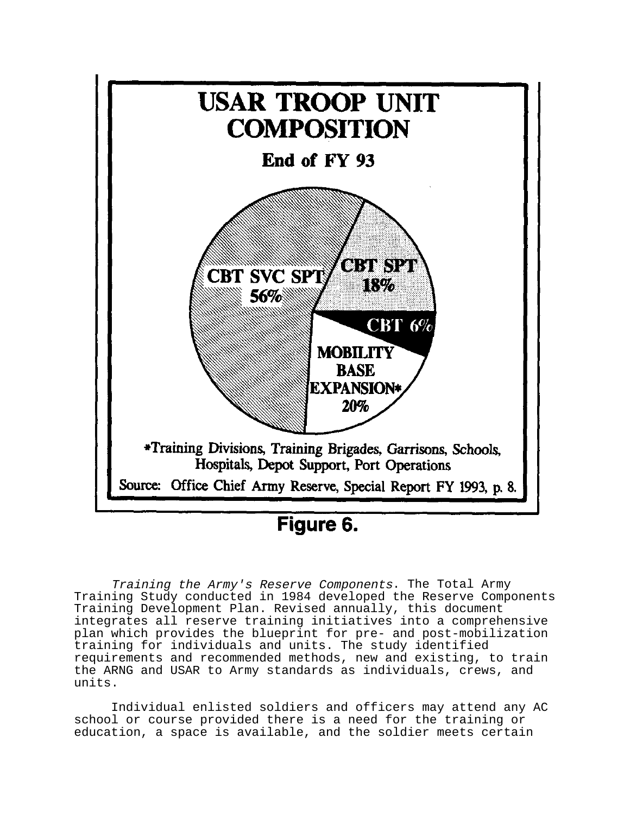

Figure 6.

Training the Army's Reserve Components. The Total Army Training Study conducted in 1984 developed the Reserve Components Training Development Plan. Revised annually, this document integrates all reserve training initiatives into a comprehensive plan which provides the blueprint for pre- and post-mobilization training for individuals and units. The study identified requirements and recommended methods, new and existing, to train the ARNG and USAR to Army standards as individuals, crews, and units.

Individual enlisted soldiers and officers may attend any AC school or course provided there is a need for the training or education, a space is available, and the soldier meets certain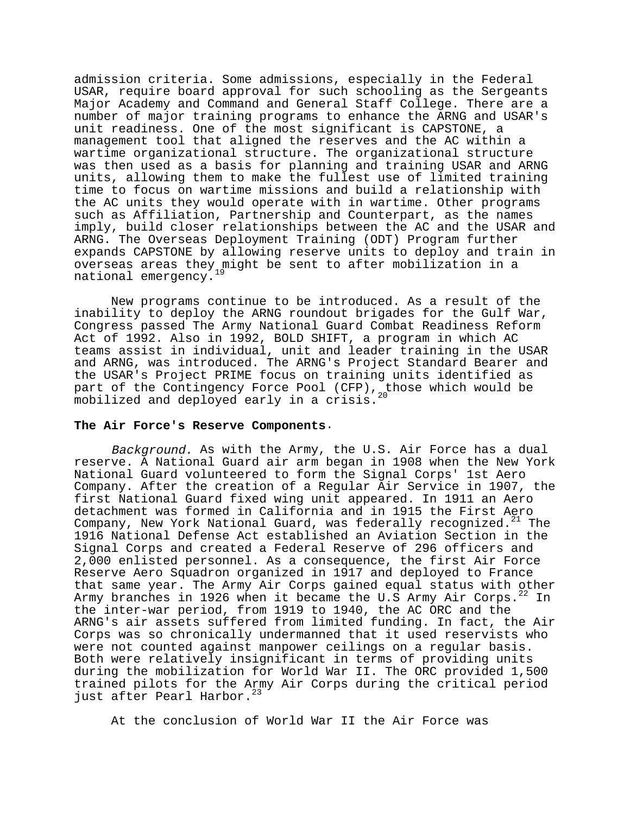admission criteria. Some admissions, especially in the Federal USAR, require board approval for such schooling as the Sergeants Major Academy and Command and General Staff College. There are a number of major training programs to enhance the ARNG and USAR's unit readiness. One of the most significant is CAPSTONE, a management tool that aligned the reserves and the AC within a wartime organizational structure. The organizational structure was then used as a basis for planning and training USAR and ARNG units, allowing them to make the fullest use of limited training time to focus on wartime missions and build a relationship with the AC units they would operate with in wartime. Other programs such as Affiliation, Partnership and Counterpart, as the names imply, build closer relationships between the AC and the USAR and ARNG. The Overseas Deployment Training (ODT) Program further expands CAPSTONE by allowing reserve units to deploy and train in overseas areas they might be sent to after mobilization in a national emergency.

New programs continue to be introduced. As a result of the inability to deploy the ARNG roundout brigades for the Gulf War, Congress passed The Army National Guard Combat Readiness Reform Act of 1992. Also in 1992, BOLD SHIFT, a program in which AC teams assist in individual, unit and leader training in the USAR and ARNG, was introduced. The ARNG's Project Standard Bearer and the USAR's Project PRIME focus on training units identified as part of the Contingency Force Pool (CFP), those which would be mobilized and deployed early in a crisis.

#### **The Air Force's Reserve Components**.

Background. As with the Army, the U.S. Air Force has a dual reserve. A National Guard air arm began in 1908 when the New York National Guard volunteered to form the Signal Corps' 1st Aero Company. After the creation of a Regular Air Service in 1907, the first National Guard fixed wing unit appeared. In 1911 an Aero detachment was formed in California and in 1915 the First Aero Company, New York National Guard, was federally recognized. $21$  The 1916 National Defense Act established an Aviation Section in the Signal Corps and created a Federal Reserve of 296 officers and 2,000 enlisted personnel. As a consequence, the first Air Force Reserve Aero Squadron organized in 1917 and deployed to France that same year. The Army Air Corps gained equal status with other Army branches in 1926 when it became the U.S Army Air Corps. $^{22}$  In the inter-war period, from 1919 to 1940, the AC ORC and the ARNG's air assets suffered from limited funding. In fact, the Air Corps was so chronically undermanned that it used reservists who were not counted against manpower ceilings on a regular basis. Both were relatively insignificant in terms of providing units during the mobilization for World War II. The ORC provided 1,500 trained pilots for the Army Air Corps during the critical period just after Pearl Harbor.<sup>23</sup>

At the conclusion of World War II the Air Force was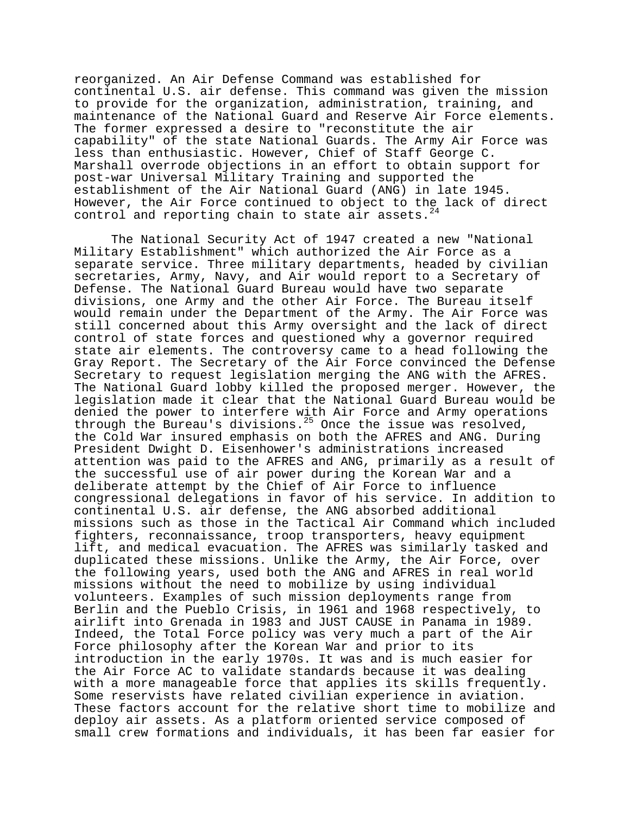reorganized. An Air Defense Command was established for continental U.S. air defense. This command was given the mission to provide for the organization, administration, training, and maintenance of the National Guard and Reserve Air Force elements. The former expressed a desire to "reconstitute the air capability" of the state National Guards. The Army Air Force was less than enthusiastic. However, Chief of Staff George C. Marshall overrode objections in an effort to obtain support for post-war Universal Military Training and supported the establishment of the Air National Guard (ANG) in late 1945. However, the Air Force continued to object to the lack of direct control and reporting chain to state  $a\overline{1}r$  assets.<sup>24</sup>

The National Security Act of 1947 created a new "National Military Establishment" which authorized the Air Force as a separate service. Three military departments, headed by civilian secretaries, Army, Navy, and Air would report to a Secretary of Defense. The National Guard Bureau would have two separate divisions, one Army and the other Air Force. The Bureau itself would remain under the Department of the Army. The Air Force was still concerned about this Army oversight and the lack of direct control of state forces and questioned why a governor required state air elements. The controversy came to a head following the Gray Report. The Secretary of the Air Force convinced the Defense Secretary to request legislation merging the ANG with the AFRES. The National Guard lobby killed the proposed merger. However, the legislation made it clear that the National Guard Bureau would be denied the power to interfere with Air Force and Army operations through the Bureau's divisions.25 Once the issue was resolved, the Cold War insured emphasis on both the AFRES and ANG. During President Dwight D. Eisenhower's administrations increased attention was paid to the AFRES and ANG, primarily as a result of the successful use of air power during the Korean War and a deliberate attempt by the Chief of Air Force to influence congressional delegations in favor of his service. In addition to continental U.S. air defense, the ANG absorbed additional missions such as those in the Tactical Air Command which included fighters, reconnaissance, troop transporters, heavy equipment lift, and medical evacuation. The AFRES was similarly tasked and duplicated these missions. Unlike the Army, the Air Force, over the following years, used both the ANG and AFRES in real world missions without the need to mobilize by using individual volunteers. Examples of such mission deployments range from Berlin and the Pueblo Crisis, in 1961 and 1968 respectively, to airlift into Grenada in 1983 and JUST CAUSE in Panama in 1989. Indeed, the Total Force policy was very much a part of the Air Force philosophy after the Korean War and prior to its introduction in the early 1970s. It was and is much easier for the Air Force AC to validate standards because it was dealing with a more manageable force that applies its skills frequently. Some reservists have related civilian experience in aviation. These factors account for the relative short time to mobilize and deploy air assets. As a platform oriented service composed of small crew formations and individuals, it has been far easier for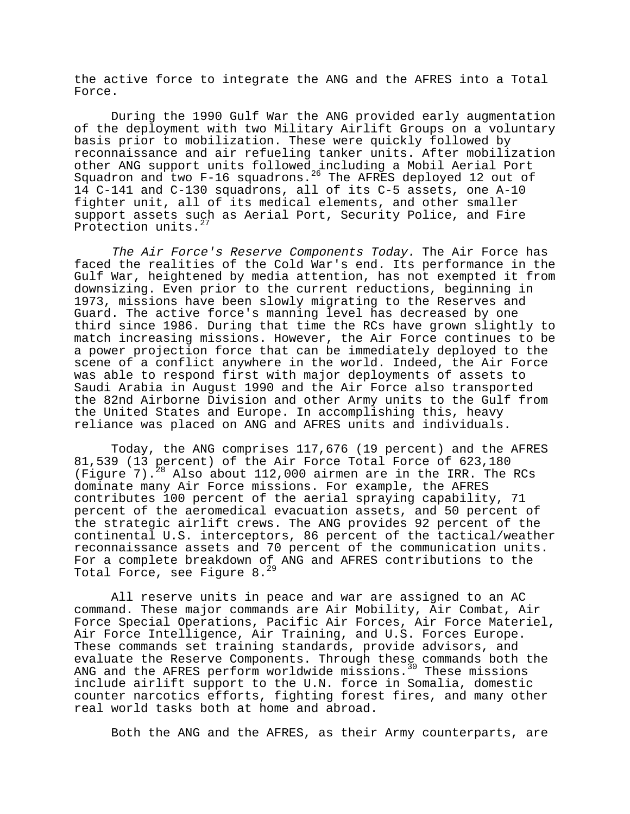the active force to integrate the ANG and the AFRES into a Total Force.

During the 1990 Gulf War the ANG provided early augmentation of the deployment with two Military Airlift Groups on a voluntary basis prior to mobilization. These were quickly followed by reconnaissance and air refueling tanker units. After mobilization other ANG support units followed including a Mobil Aerial Port Squadron and two F-16 squadrons.<sup>26</sup> The AFRES deployed 12 out of 14 C-141 and C-130 squadrons, all of its C-5 assets, one A-10 fighter unit, all of its medical elements, and other smaller support assets such as Aerial Port, Security Police, and Fire Protection units.<sup>27</sup>

The Air Force's Reserve Components Today. The Air Force has faced the realities of the Cold War's end. Its performance in the Gulf War, heightened by media attention, has not exempted it from downsizing. Even prior to the current reductions, beginning in 1973, missions have been slowly migrating to the Reserves and Guard. The active force's manning level has decreased by one third since 1986. During that time the RCs have grown slightly to match increasing missions. However, the Air Force continues to be a power projection force that can be immediately deployed to the scene of a conflict anywhere in the world. Indeed, the Air Force was able to respond first with major deployments of assets to Saudi Arabia in August 1990 and the Air Force also transported the 82nd Airborne Division and other Army units to the Gulf from the United States and Europe. In accomplishing this, heavy reliance was placed on ANG and AFRES units and individuals.

Today, the ANG comprises 117,676 (19 percent) and the AFRES 81,539 (13 percent) of the Air Force Total Force of 623,180 (Figure 7).<sup>28</sup> Also about 112,000 airmen are in the IRR. The RCs dominate many Air Force missions. For example, the AFRES contributes 100 percent of the aerial spraying capability, 71 percent of the aeromedical evacuation assets, and 50 percent of the strategic airlift crews. The ANG provides 92 percent of the continental U.S. interceptors, 86 percent of the tactical/weather reconnaissance assets and 70 percent of the communication units. For a complete breakdown of ANG and AFRES contributions to the Total Force, see Figure  $8.^{29}$ 

All reserve units in peace and war are assigned to an AC command. These major commands are Air Mobility, Air Combat, Air Force Special Operations, Pacific Air Forces, Air Force Materiel, Air Force Intelligence, Air Training, and U.S. Forces Europe. These commands set training standards, provide advisors, and evaluate the Reserve Components. Through these commands both the ANG and the AFRES perform worldwide missions.<sup>30</sup> These missions include airlift support to the U.N. force in Somalia, domestic counter narcotics efforts, fighting forest fires, and many other real world tasks both at home and abroad.

Both the ANG and the AFRES, as their Army counterparts, are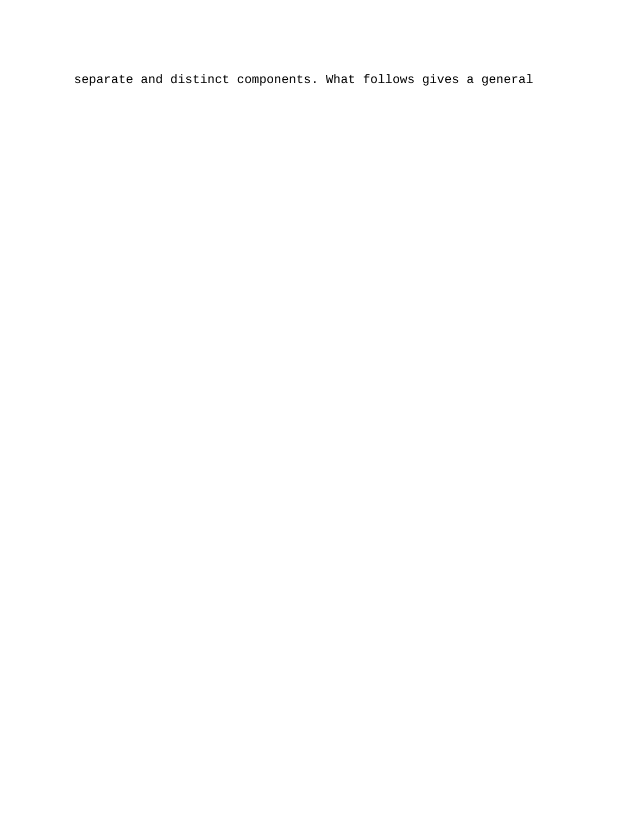separate and distinct components. What follows gives a general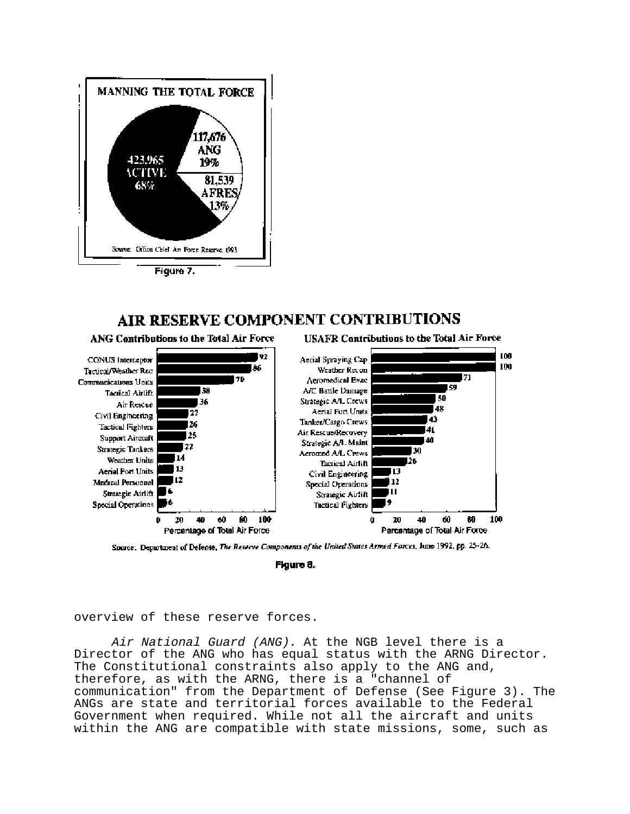

## AIR RESERVE COMPONENT CONTRIBUTIONS



Source: Department of Defense, The Reserve Components of the United States Armed Forces, June 1992, pp. 25-26.

Figure 8.

overview of these reserve forces.

Air National Guard (ANG). At the NGB level there is a Director of the ANG who has equal status with the ARNG Director. The Constitutional constraints also apply to the ANG and, therefore, as with the ARNG, there is a "channel of communication" from the Department of Defense (See Figure 3). The ANGs are state and territorial forces available to the Federal Government when required. While not all the aircraft and units within the ANG are compatible with state missions, some, such as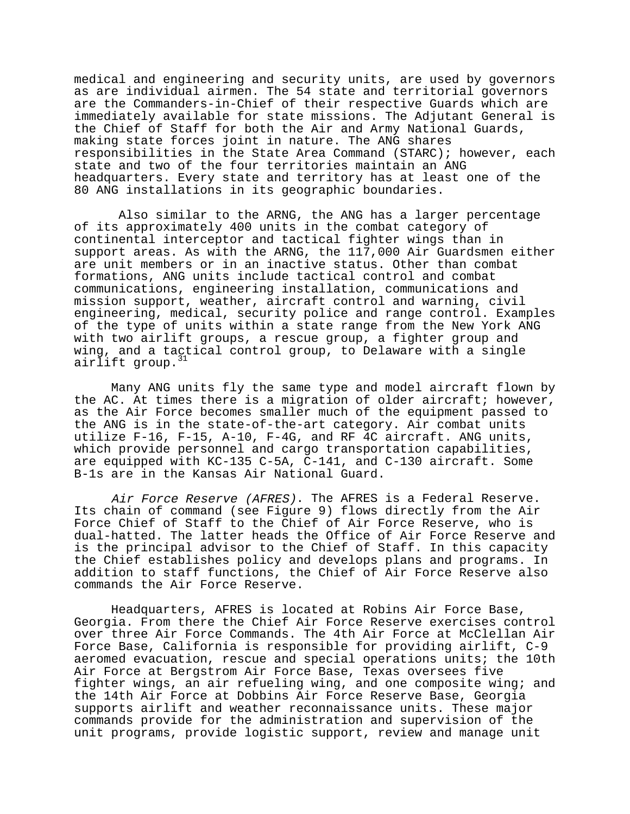medical and engineering and security units, are used by governors as are individual airmen. The 54 state and territorial governors are the Commanders-in-Chief of their respective Guards which are immediately available for state missions. The Adjutant General is the Chief of Staff for both the Air and Army National Guards, making state forces joint in nature. The ANG shares responsibilities in the State Area Command (STARC); however, each state and two of the four territories maintain an ANG headquarters. Every state and territory has at least one of the 80 ANG installations in its geographic boundaries.

 Also similar to the ARNG, the ANG has a larger percentage of its approximately 400 units in the combat category of continental interceptor and tactical fighter wings than in support areas. As with the ARNG, the 117,000 Air Guardsmen either are unit members or in an inactive status. Other than combat formations, ANG units include tactical control and combat communications, engineering installation, communications and mission support, weather, aircraft control and warning, civil engineering, medical, security police and range control. Examples of the type of units within a state range from the New York ANG with two airlift groups, a rescue group, a fighter group and wing, and a tactical control group, to Delaware with a single airlift group.<sup>31</sup>

Many ANG units fly the same type and model aircraft flown by the AC. At times there is a migration of older aircraft; however, as the Air Force becomes smaller much of the equipment passed to the ANG is in the state-of-the-art category. Air combat units utilize F-16, F-15, A-10, F-4G, and RF 4C aircraft. ANG units, which provide personnel and cargo transportation capabilities, are equipped with KC-135 C-5A, C-141, and C-130 aircraft. Some B-1s are in the Kansas Air National Guard.

Air Force Reserve (AFRES). The AFRES is a Federal Reserve. Its chain of command (see Figure 9) flows directly from the Air Force Chief of Staff to the Chief of Air Force Reserve, who is dual-hatted. The latter heads the Office of Air Force Reserve and is the principal advisor to the Chief of Staff. In this capacity the Chief establishes policy and develops plans and programs. In addition to staff functions, the Chief of Air Force Reserve also commands the Air Force Reserve.

Headquarters, AFRES is located at Robins Air Force Base, Georgia. From there the Chief Air Force Reserve exercises control over three Air Force Commands. The 4th Air Force at McClellan Air Force Base, California is responsible for providing airlift, C-9 aeromed evacuation, rescue and special operations units; the 10th Air Force at Bergstrom Air Force Base, Texas oversees five fighter wings, an air refueling wing, and one composite wing; and the 14th Air Force at Dobbins Air Force Reserve Base, Georgia supports airlift and weather reconnaissance units. These major commands provide for the administration and supervision of the unit programs, provide logistic support, review and manage unit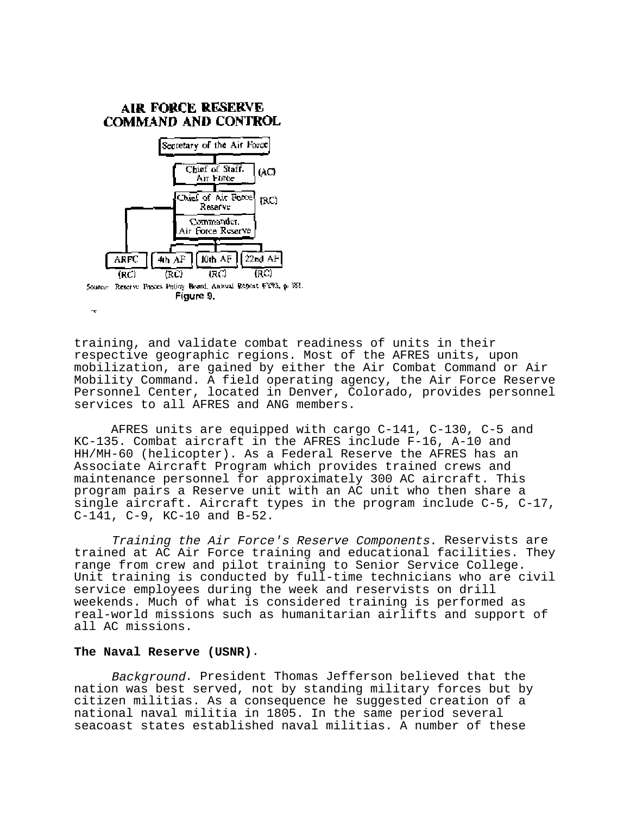

training, and validate combat readiness of units in their respective geographic regions. Most of the AFRES units, upon mobilization, are gained by either the Air Combat Command or Air Mobility Command. A field operating agency, the Air Force Reserve Personnel Center, located in Denver, Colorado, provides personnel services to all AFRES and ANG members.

AFRES units are equipped with cargo C-141, C-130, C-5 and KC-135. Combat aircraft in the AFRES include F-16, A-10 and HH/MH-60 (helicopter). As a Federal Reserve the AFRES has an Associate Aircraft Program which provides trained crews and maintenance personnel for approximately 300 AC aircraft. This program pairs a Reserve unit with an AC unit who then share a single aircraft. Aircraft types in the program include C-5, C-17, C-141, C-9, KC-10 and B-52.

Training the Air Force's Reserve Components. Reservists are trained at AC Air Force training and educational facilities. They range from crew and pilot training to Senior Service College. Unit training is conducted by full-time technicians who are civil service employees during the week and reservists on drill weekends. Much of what is considered training is performed as real-world missions such as humanitarian airlifts and support of all AC missions.

## **The Naval Reserve (USNR)**.

Background. President Thomas Jefferson believed that the nation was best served, not by standing military forces but by citizen militias. As a consequence he suggested creation of a national naval militia in 1805. In the same period several seacoast states established naval militias. A number of these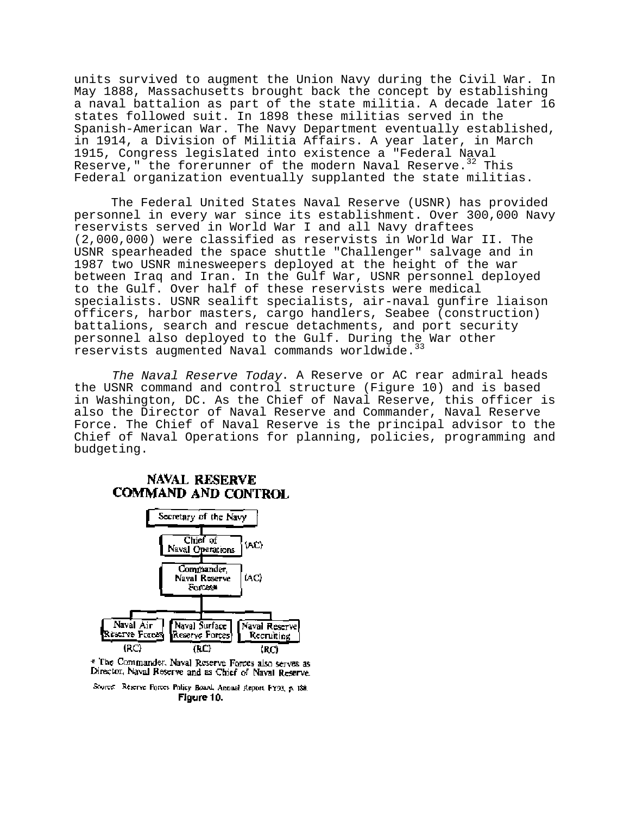units survived to augment the Union Navy during the Civil War. In May 1888, Massachusetts brought back the concept by establishing a naval battalion as part of the state militia. A decade later 16 states followed suit. In 1898 these militias served in the Spanish-American War. The Navy Department eventually established, in 1914, a Division of Militia Affairs. A year later, in March 1915, Congress legislated into existence a "Federal Naval Reserve," the forerunner of the modern Naval Reserve. $32$  This Federal organization eventually supplanted the state militias.

The Federal United States Naval Reserve (USNR) has provided personnel in every war since its establishment. Over 300,000 Navy reservists served in World War I and all Navy draftees (2,000,000) were classified as reservists in World War II. The USNR spearheaded the space shuttle "Challenger" salvage and in 1987 two USNR minesweepers deployed at the height of the war between Iraq and Iran. In the Gulf War, USNR personnel deployed to the Gulf. Over half of these reservists were medical specialists. USNR sealift specialists, air-naval gunfire liaison officers, harbor masters, cargo handlers, Seabee (construction) battalions, search and rescue detachments, and port security personnel also deployed to the Gulf. During the War other reservists augmented Naval commands worldwide.<sup>33</sup>

The Naval Reserve Today. A Reserve or AC rear admiral heads the USNR command and control structure (Figure 10) and is based in Washington, DC. As the Chief of Naval Reserve, this officer is also the Director of Naval Reserve and Commander, Naval Reserve Force. The Chief of Naval Reserve is the principal advisor to the Chief of Naval Operations for planning, policies, programming and budgeting.

## **NAVAL RESERVE** COMMAND AND CONTROL



\* The Commander. Naval Reserve Forces also serves as Director, Naval Reserve and as Chief of Naval Reserve.

Source: Reserve Forces Policy Board, Annual Report FY93, p. 188. Figure 10.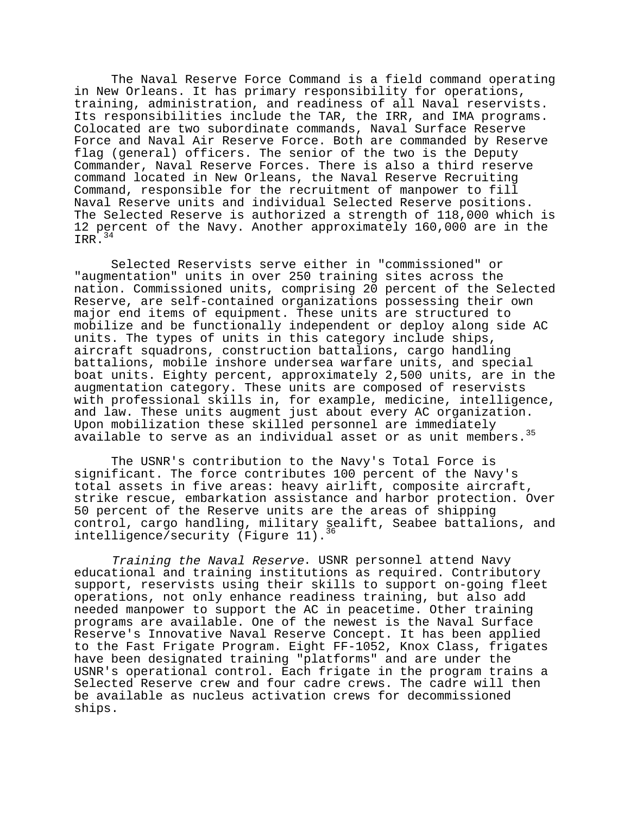The Naval Reserve Force Command is a field command operating in New Orleans. It has primary responsibility for operations, training, administration, and readiness of all Naval reservists. Its responsibilities include the TAR, the IRR, and IMA programs. Colocated are two subordinate commands, Naval Surface Reserve Force and Naval Air Reserve Force. Both are commanded by Reserve flag (general) officers. The senior of the two is the Deputy Commander, Naval Reserve Forces. There is also a third reserve command located in New Orleans, the Naval Reserve Recruiting Command, responsible for the recruitment of manpower to fill Naval Reserve units and individual Selected Reserve positions. The Selected Reserve is authorized a strength of 118,000 which is 12 percent of the Navy. Another approximately 160,000 are in the IRR.<sup>34</sup>

Selected Reservists serve either in "commissioned" or "augmentation" units in over 250 training sites across the nation. Commissioned units, comprising 20 percent of the Selected Reserve, are self-contained organizations possessing their own major end items of equipment. These units are structured to mobilize and be functionally independent or deploy along side AC units. The types of units in this category include ships, aircraft squadrons, construction battalions, cargo handling battalions, mobile inshore undersea warfare units, and special boat units. Eighty percent, approximately 2,500 units, are in the augmentation category. These units are composed of reservists with professional skills in, for example, medicine, intelligence, and law. These units augment just about every AC organization. Upon mobilization these skilled personnel are immediately available to serve as an individual asset or as unit members.<sup>35</sup>

The USNR's contribution to the Navy's Total Force is significant. The force contributes 100 percent of the Navy's total assets in five areas: heavy airlift, composite aircraft, strike rescue, embarkation assistance and harbor protection. Over 50 percent of the Reserve units are the areas of shipping control, cargo handling, military sealift, Seabee battalions, and intelligence/security (Figure 11).<sup>36</sup>

Training the Naval Reserve. USNR personnel attend Navy educational and training institutions as required. Contributory support, reservists using their skills to support on-going fleet operations, not only enhance readiness training, but also add needed manpower to support the AC in peacetime. Other training programs are available. One of the newest is the Naval Surface Reserve's Innovative Naval Reserve Concept. It has been applied to the Fast Frigate Program. Eight FF-1052, Knox Class, frigates have been designated training "platforms" and are under the USNR's operational control. Each frigate in the program trains a Selected Reserve crew and four cadre crews. The cadre will then be available as nucleus activation crews for decommissioned ships.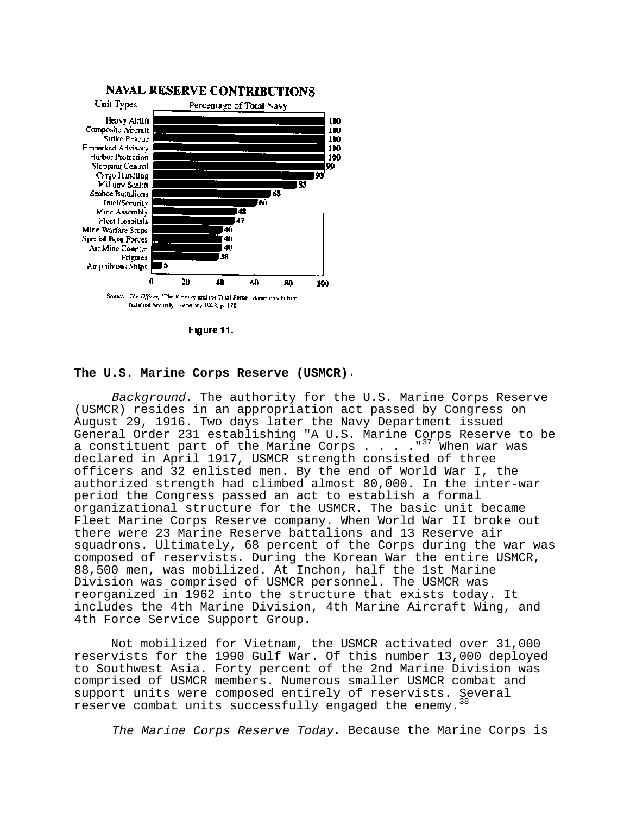

Figure 11.

#### **The U.S. Marine Corps Reserve (USMCR)**.

Background. The authority for the U.S. Marine Corps Reserve (USMCR) resides in an appropriation act passed by Congress on August 29, 1916. Two days later the Navy Department issued General Order 231 establishing "A U.S. Marine Corps Reserve to be a constituent part of the Marine Corps  $\ldots$  . . "<sup>37</sup> When war was declared in April 1917, USMCR strength consisted of three officers and 32 enlisted men. By the end of World War I, the authorized strength had climbed almost 80,000. In the inter-war period the Congress passed an act to establish a formal organizational structure for the USMCR. The basic unit became Fleet Marine Corps Reserve company. When World War II broke out there were 23 Marine Reserve battalions and 13 Reserve air squadrons. Ultimately, 68 percent of the Corps during the war was composed of reservists. During the Korean War the entire USMCR, 88,500 men, was mobilized. At Inchon, half the 1st Marine Division was comprised of USMCR personnel. The USMCR was reorganized in 1962 into the structure that exists today. It includes the 4th Marine Division, 4th Marine Aircraft Wing, and 4th Force Service Support Group.

Not mobilized for Vietnam, the USMCR activated over 31,000 reservists for the 1990 Gulf War. Of this number 13,000 deployed to Southwest Asia. Forty percent of the 2nd Marine Division was comprised of USMCR members. Numerous smaller USMCR combat and support units were composed entirely of reservists. Several reserve combat units successfully engaged the enemy.

The Marine Corps Reserve Today. Because the Marine Corps is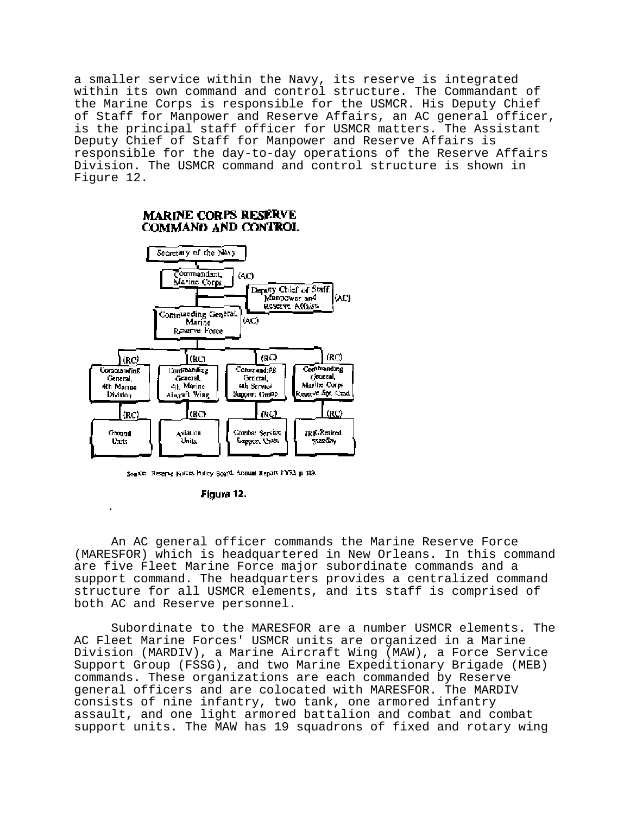a smaller service within the Navy, its reserve is integrated within its own command and control structure. The Commandant of the Marine Corps is responsible for the USMCR. His Deputy Chief of Staff for Manpower and Reserve Affairs, an AC general officer, is the principal staff officer for USMCR matters. The Assistant Deputy Chief of Staff for Manpower and Reserve Affairs is responsible for the day-to-day operations of the Reserve Affairs Division. The USMCR command and control structure is shown in Figure 12.

## **MARINE CORPS RESERVE** COMMAND AND CONTROL



Source: Reserve Notes Policy Board. Annual Report FY93, p. 189.

Figura 12.

An AC general officer commands the Marine Reserve Force (MARESFOR) which is headquartered in New Orleans. In this command are five Fleet Marine Force major subordinate commands and a support command. The headquarters provides a centralized command structure for all USMCR elements, and its staff is comprised of both AC and Reserve personnel.

Subordinate to the MARESFOR are a number USMCR elements. The AC Fleet Marine Forces' USMCR units are organized in a Marine Division (MARDIV), a Marine Aircraft Wing (MAW), a Force Service Support Group (FSSG), and two Marine Expeditionary Brigade (MEB) commands. These organizations are each commanded by Reserve general officers and are colocated with MARESFOR. The MARDIV consists of nine infantry, two tank, one armored infantry assault, and one light armored battalion and combat and combat support units. The MAW has 19 squadrons of fixed and rotary wing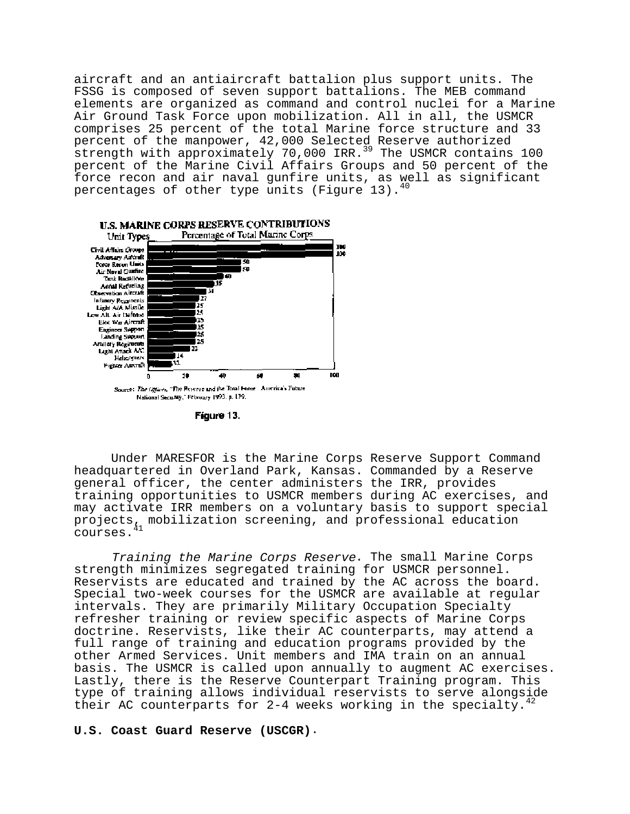aircraft and an antiaircraft battalion plus support units. The FSSG is composed of seven support battalions. The MEB command elements are organized as command and control nuclei for a Marine Air Ground Task Force upon mobilization. All in all, the USMCR comprises 25 percent of the total Marine force structure and 33 percent of the manpower, 42,000 Selected Reserve authorized strength with approximately 70,000 IRR.<sup>39</sup> The USMCR contains 100 percent of the Marine Civil Affairs Groups and 50 percent of the force recon and air naval gunfire units, as well as significant percentages of other type units (Figure 13).



Figure 13.

Under MARESFOR is the Marine Corps Reserve Support Command headquartered in Overland Park, Kansas. Commanded by a Reserve general officer, the center administers the IRR, provides training opportunities to USMCR members during AC exercises, and may activate IRR members on a voluntary basis to support special projects<sub>41</sub> mobilization screening, and professional education courses.

Training the Marine Corps Reserve. The small Marine Corps strength minimizes segregated training for USMCR personnel. Reservists are educated and trained by the AC across the board. Special two-week courses for the USMCR are available at regular intervals. They are primarily Military Occupation Specialty refresher training or review specific aspects of Marine Corps doctrine. Reservists, like their AC counterparts, may attend a full range of training and education programs provided by the other Armed Services. Unit members and IMA train on an annual basis. The USMCR is called upon annually to augment AC exercises. Lastly, there is the Reserve Counterpart Training program. This type of training allows individual reservists to serve alongside their AC counterparts for 2-4 weeks working in the specialty.

## **U.S. Coast Guard Reserve (USCGR)**.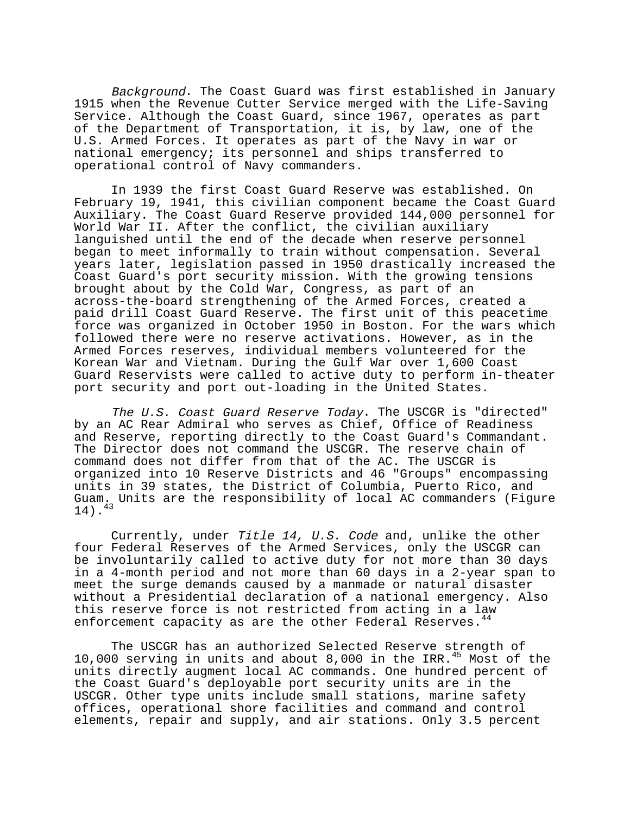Background. The Coast Guard was first established in January 1915 when the Revenue Cutter Service merged with the Life-Saving Service. Although the Coast Guard, since 1967, operates as part of the Department of Transportation, it is, by law, one of the U.S. Armed Forces. It operates as part of the Navy in war or national emergency; its personnel and ships transferred to operational control of Navy commanders.

In 1939 the first Coast Guard Reserve was established. On February 19, 1941, this civilian component became the Coast Guard Auxiliary. The Coast Guard Reserve provided 144,000 personnel for World War II. After the conflict, the civilian auxiliary languished until the end of the decade when reserve personnel began to meet informally to train without compensation. Several years later, legislation passed in 1950 drastically increased the Coast Guard's port security mission. With the growing tensions brought about by the Cold War, Congress, as part of an across-the-board strengthening of the Armed Forces, created a paid drill Coast Guard Reserve. The first unit of this peacetime force was organized in October 1950 in Boston. For the wars which followed there were no reserve activations. However, as in the Armed Forces reserves, individual members volunteered for the Korean War and Vietnam. During the Gulf War over 1,600 Coast Guard Reservists were called to active duty to perform in-theater port security and port out-loading in the United States.

The U.S. Coast Guard Reserve Today. The USCGR is "directed" by an AC Rear Admiral who serves as Chief, Office of Readiness and Reserve, reporting directly to the Coast Guard's Commandant. The Director does not command the USCGR. The reserve chain of command does not differ from that of the AC. The USCGR is organized into 10 Reserve Districts and 46 "Groups" encompassing units in 39 states, the District of Columbia, Puerto Rico, and Guam. Units are the responsibility of local AC commanders (Figure  $14)$ .<sup>43</sup>

Currently, under Title 14, U.S. Code and, unlike the other four Federal Reserves of the Armed Services, only the USCGR can be involuntarily called to active duty for not more than 30 days in a 4-month period and not more than 60 days in a 2-year span to meet the surge demands caused by a manmade or natural disaster without a Presidential declaration of a national emergency. Also this reserve force is not restricted from acting in a law enforcement capacity as are the other Federal Reserves.<sup>44</sup>

The USCGR has an authorized Selected Reserve strength of 10,000 serving in units and about 8,000 in the IRR.45 Most of the units directly augment local AC commands. One hundred percent of the Coast Guard's deployable port security units are in the USCGR. Other type units include small stations, marine safety offices, operational shore facilities and command and control elements, repair and supply, and air stations. Only 3.5 percent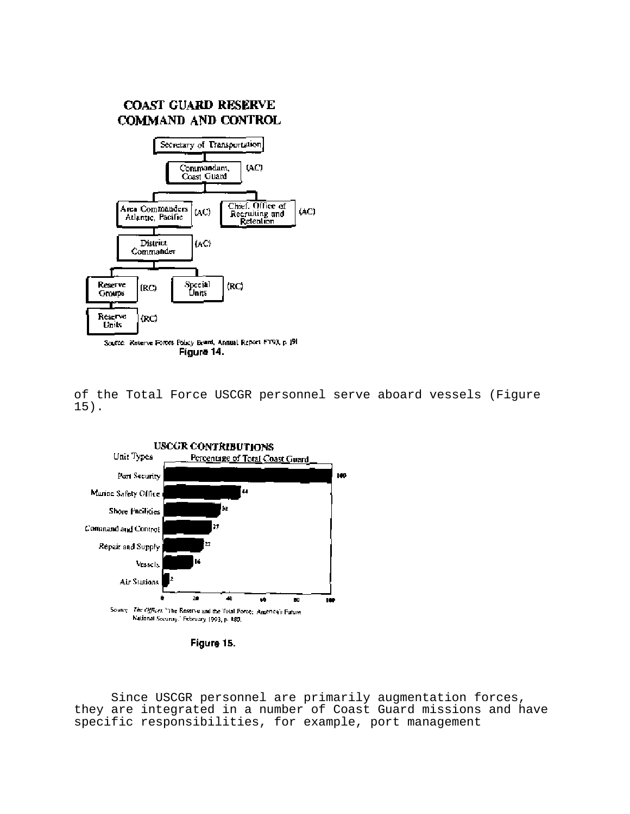

of the Total Force USCGR personnel serve aboard vessels (Figure 15).



Figure 15.

Since USCGR personnel are primarily augmentation forces, they are integrated in a number of Coast Guard missions and have specific responsibilities, for example, port management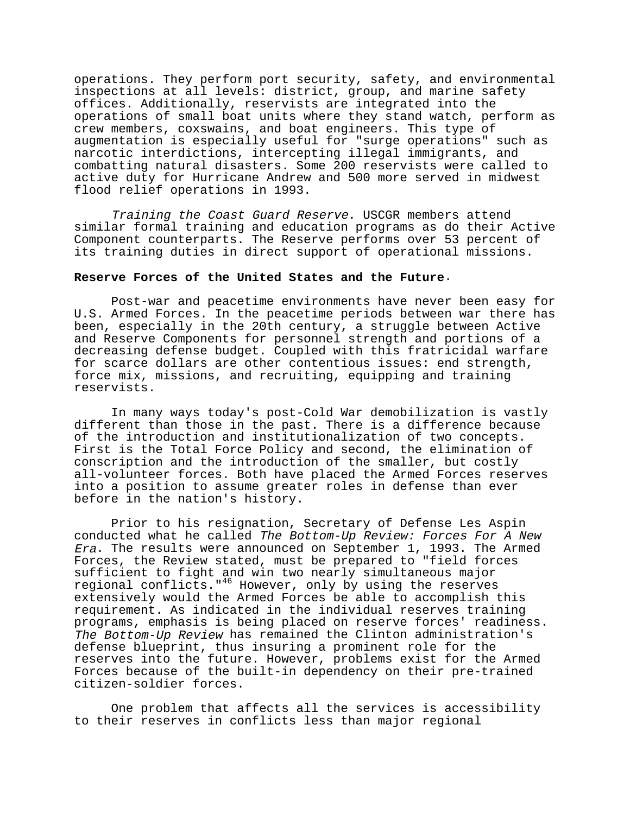operations. They perform port security, safety, and environmental inspections at all levels: district, group, and marine safety offices. Additionally, reservists are integrated into the operations of small boat units where they stand watch, perform as crew members, coxswains, and boat engineers. This type of augmentation is especially useful for "surge operations" such as narcotic interdictions, intercepting illegal immigrants, and combatting natural disasters. Some 200 reservists were called to active duty for Hurricane Andrew and 500 more served in midwest flood relief operations in 1993.

Training the Coast Guard Reserve. USCGR members attend similar formal training and education programs as do their Active Component counterparts. The Reserve performs over 53 percent of its training duties in direct support of operational missions.

## **Reserve Forces of the United States and the Future**.

Post-war and peacetime environments have never been easy for U.S. Armed Forces. In the peacetime periods between war there has been, especially in the 20th century, a struggle between Active and Reserve Components for personnel strength and portions of a decreasing defense budget. Coupled with this fratricidal warfare for scarce dollars are other contentious issues: end strength, force mix, missions, and recruiting, equipping and training reservists.

In many ways today's post-Cold War demobilization is vastly different than those in the past. There is a difference because of the introduction and institutionalization of two concepts. First is the Total Force Policy and second, the elimination of conscription and the introduction of the smaller, but costly all-volunteer forces. Both have placed the Armed Forces reserves into a position to assume greater roles in defense than ever before in the nation's history.

Prior to his resignation, Secretary of Defense Les Aspin conducted what he called The Bottom-Up Review: Forces For A New Era. The results were announced on September 1, 1993. The Armed Forces, the Review stated, must be prepared to "field forces sufficient to fight and win two nearly simultaneous major regional conflicts."46 However, only by using the reserves extensively would the Armed Forces be able to accomplish this requirement. As indicated in the individual reserves training programs, emphasis is being placed on reserve forces' readiness. The Bottom-Up Review has remained the Clinton administration's defense blueprint, thus insuring a prominent role for the reserves into the future. However, problems exist for the Armed Forces because of the built-in dependency on their pre-trained citizen-soldier forces.

One problem that affects all the services is accessibility to their reserves in conflicts less than major regional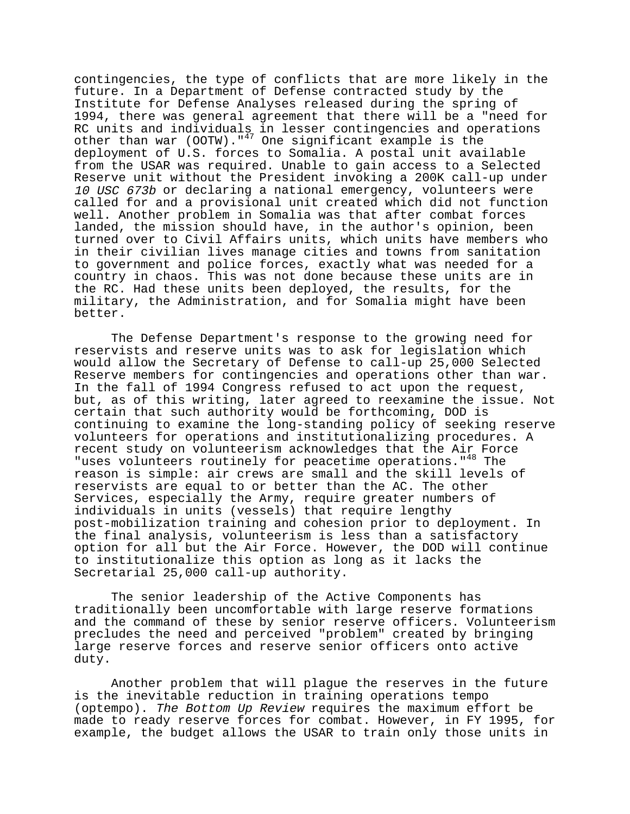contingencies, the type of conflicts that are more likely in the future. In a Department of Defense contracted study by the Institute for Defense Analyses released during the spring of 1994, there was general agreement that there will be a "need for RC units and individuals in lesser contingencies and operations other than war  $(00TW)$ ."<sup>47</sup> One significant example is the deployment of U.S. forces to Somalia. A postal unit available from the USAR was required. Unable to gain access to a Selected Reserve unit without the President invoking a 200K call-up under 10 USC 673b or declaring a national emergency, volunteers were called for and a provisional unit created which did not function well. Another problem in Somalia was that after combat forces landed, the mission should have, in the author's opinion, been turned over to Civil Affairs units, which units have members who in their civilian lives manage cities and towns from sanitation to government and police forces, exactly what was needed for a country in chaos. This was not done because these units are in the RC. Had these units been deployed, the results, for the military, the Administration, and for Somalia might have been better.

The Defense Department's response to the growing need for reservists and reserve units was to ask for legislation which would allow the Secretary of Defense to call-up 25,000 Selected Reserve members for contingencies and operations other than war. In the fall of 1994 Congress refused to act upon the request, but, as of this writing, later agreed to reexamine the issue. Not certain that such authority would be forthcoming, DOD is continuing to examine the long-standing policy of seeking reserve volunteers for operations and institutionalizing procedures. A recent study on volunteerism acknowledges that the Air Force "uses volunteers routinely for peacetime operations."48 The reason is simple: air crews are small and the skill levels of reservists are equal to or better than the AC. The other Services, especially the Army, require greater numbers of individuals in units (vessels) that require lengthy post-mobilization training and cohesion prior to deployment. In the final analysis, volunteerism is less than a satisfactory option for all but the Air Force. However, the DOD will continue to institutionalize this option as long as it lacks the Secretarial 25,000 call-up authority.

The senior leadership of the Active Components has traditionally been uncomfortable with large reserve formations and the command of these by senior reserve officers. Volunteerism precludes the need and perceived "problem" created by bringing large reserve forces and reserve senior officers onto active duty.

Another problem that will plague the reserves in the future is the inevitable reduction in training operations tempo (optempo). The Bottom Up Review requires the maximum effort be made to ready reserve forces for combat. However, in FY 1995, for example, the budget allows the USAR to train only those units in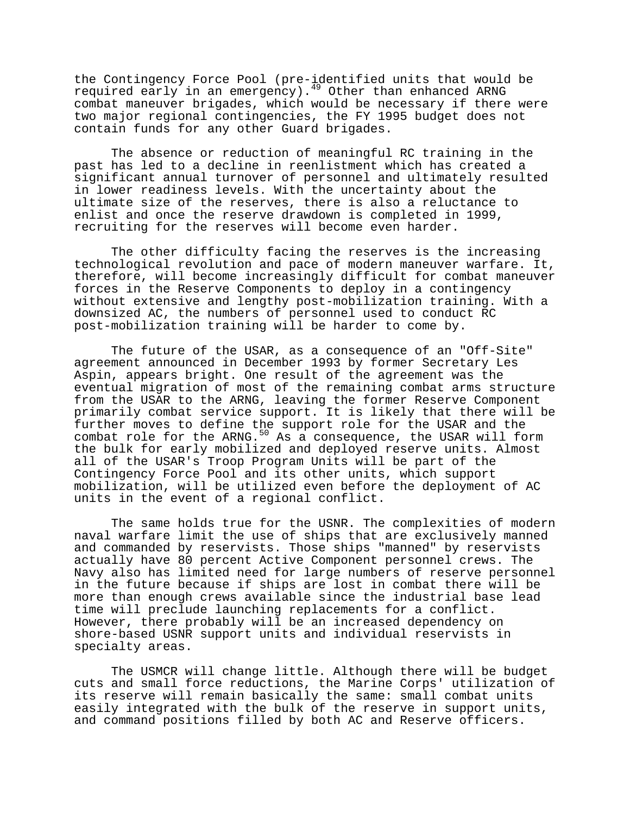the Contingency Force Pool (pre-identified units that would be required early in an emergency).49 Other than enhanced ARNG combat maneuver brigades, which would be necessary if there were two major regional contingencies, the FY 1995 budget does not contain funds for any other Guard brigades.

The absence or reduction of meaningful RC training in the past has led to a decline in reenlistment which has created a significant annual turnover of personnel and ultimately resulted in lower readiness levels. With the uncertainty about the ultimate size of the reserves, there is also a reluctance to enlist and once the reserve drawdown is completed in 1999, recruiting for the reserves will become even harder.

The other difficulty facing the reserves is the increasing technological revolution and pace of modern maneuver warfare. It, therefore, will become increasingly difficult for combat maneuver forces in the Reserve Components to deploy in a contingency without extensive and lengthy post-mobilization training. With a downsized AC, the numbers of personnel used to conduct RC post-mobilization training will be harder to come by.

The future of the USAR, as a consequence of an "Off-Site" agreement announced in December 1993 by former Secretary Les Aspin, appears bright. One result of the agreement was the eventual migration of most of the remaining combat arms structure from the USAR to the ARNG, leaving the former Reserve Component primarily combat service support. It is likely that there will be further moves to define the support role for the USAR and the combat role for the ARNG.<sup>50</sup> As a consequence, the USAR will form the bulk for early mobilized and deployed reserve units. Almost all of the USAR's Troop Program Units will be part of the Contingency Force Pool and its other units, which support mobilization, will be utilized even before the deployment of AC units in the event of a regional conflict.

The same holds true for the USNR. The complexities of modern naval warfare limit the use of ships that are exclusively manned and commanded by reservists. Those ships "manned" by reservists actually have 80 percent Active Component personnel crews. The Navy also has limited need for large numbers of reserve personnel in the future because if ships are lost in combat there will be more than enough crews available since the industrial base lead time will preclude launching replacements for a conflict. However, there probably will be an increased dependency on shore-based USNR support units and individual reservists in specialty areas.

The USMCR will change little. Although there will be budget cuts and small force reductions, the Marine Corps' utilization of its reserve will remain basically the same: small combat units easily integrated with the bulk of the reserve in support units, and command positions filled by both AC and Reserve officers.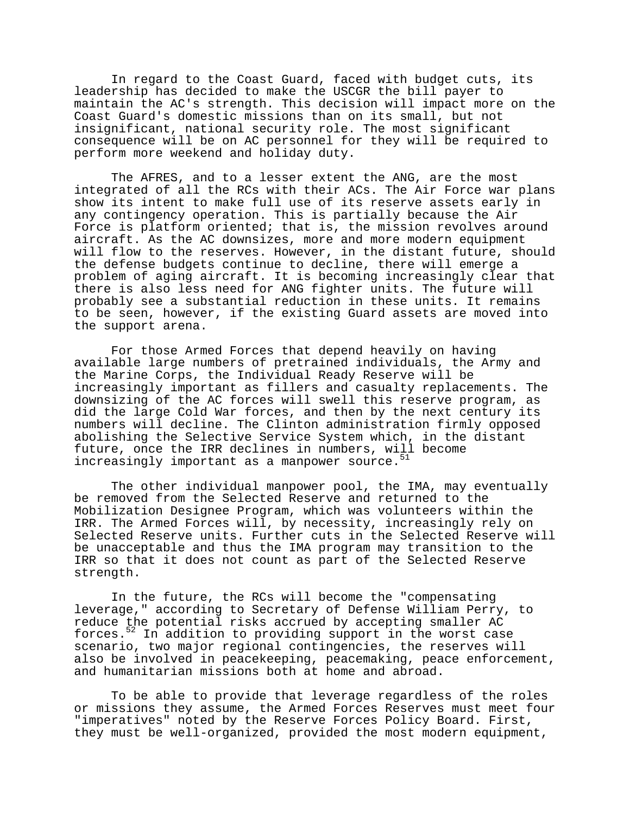In regard to the Coast Guard, faced with budget cuts, its leadership has decided to make the USCGR the bill payer to maintain the AC's strength. This decision will impact more on the Coast Guard's domestic missions than on its small, but not insignificant, national security role. The most significant consequence will be on AC personnel for they will be required to perform more weekend and holiday duty.

The AFRES, and to a lesser extent the ANG, are the most integrated of all the RCs with their ACs. The Air Force war plans show its intent to make full use of its reserve assets early in any contingency operation. This is partially because the Air Force is platform oriented; that is, the mission revolves around aircraft. As the AC downsizes, more and more modern equipment will flow to the reserves. However, in the distant future, should the defense budgets continue to decline, there will emerge a problem of aging aircraft. It is becoming increasingly clear that there is also less need for ANG fighter units. The future will probably see a substantial reduction in these units. It remains to be seen, however, if the existing Guard assets are moved into the support arena.

For those Armed Forces that depend heavily on having available large numbers of pretrained individuals, the Army and the Marine Corps, the Individual Ready Reserve will be increasingly important as fillers and casualty replacements. The downsizing of the AC forces will swell this reserve program, as did the large Cold War forces, and then by the next century its numbers will decline. The Clinton administration firmly opposed abolishing the Selective Service System which, in the distant future, once the IRR declines in numbers, will become increasingly important as a manpower source.

The other individual manpower pool, the IMA, may eventually be removed from the Selected Reserve and returned to the Mobilization Designee Program, which was volunteers within the IRR. The Armed Forces will, by necessity, increasingly rely on Selected Reserve units. Further cuts in the Selected Reserve will be unacceptable and thus the IMA program may transition to the IRR so that it does not count as part of the Selected Reserve strength.

In the future, the RCs will become the "compensating leverage," according to Secretary of Defense William Perry, to reduce the potential risks accrued by accepting smaller AC forces.52 In addition to providing support in the worst case scenario, two major regional contingencies, the reserves will also be involved in peacekeeping, peacemaking, peace enforcement, and humanitarian missions both at home and abroad.

To be able to provide that leverage regardless of the roles or missions they assume, the Armed Forces Reserves must meet four "imperatives" noted by the Reserve Forces Policy Board. First, they must be well-organized, provided the most modern equipment,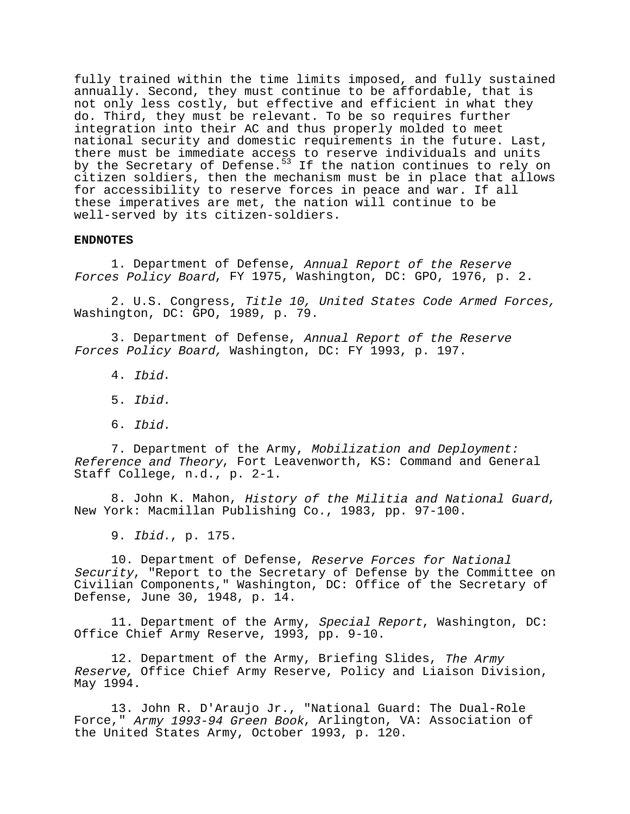fully trained within the time limits imposed, and fully sustained annually. Second, they must continue to be affordable, that is not only less costly, but effective and efficient in what they do. Third, they must be relevant. To be so requires further integration into their AC and thus properly molded to meet national security and domestic requirements in the future. Last, there must be immediate access to reserve individuals and units by the Secretary of Defense.<sup>53</sup> If the nation continues to rely on citizen soldiers, then the mechanism must be in place that allows for accessibility to reserve forces in peace and war. If all these imperatives are met, the nation will continue to be well-served by its citizen-soldiers.

#### **ENDNOTES**

1. Department of Defense, Annual Report of the Reserve Forces Policy Board, FY 1975, Washington, DC: GPO, 1976, p. 2.

2. U.S. Congress, Title 10, United States Code Armed Forces, Washington, DC: GPO, 1989, p. 79.

3. Department of Defense, Annual Report of the Reserve Forces Policy Board, Washington, DC: FY 1993, p. 197.

- 4. Ibid.
- 5. Ibid.
- 6. Ibid.

7. Department of the Army, Mobilization and Deployment: Reference and Theory, Fort Leavenworth, KS: Command and General Staff College, n.d., p. 2-1.

8. John K. Mahon, History of the Militia and National Guard, New York: Macmillan Publishing Co., 1983, pp. 97-100.

9. Ibid., p. 175.

10. Department of Defense, Reserve Forces for National Security, "Report to the Secretary of Defense by the Committee on Civilian Components," Washington, DC: Office of the Secretary of Defense, June 30, 1948, p. 14.

11. Department of the Army, Special Report, Washington, DC: Office Chief Army Reserve, 1993, pp. 9-10.

12. Department of the Army, Briefing Slides, The Army Reserve, Office Chief Army Reserve, Policy and Liaison Division, May 1994.

13. John R. D'Araujo Jr., "National Guard: The Dual-Role Force," Army 1993-94 Green Book, Arlington, VA: Association of the United States Army, October 1993, p. 120.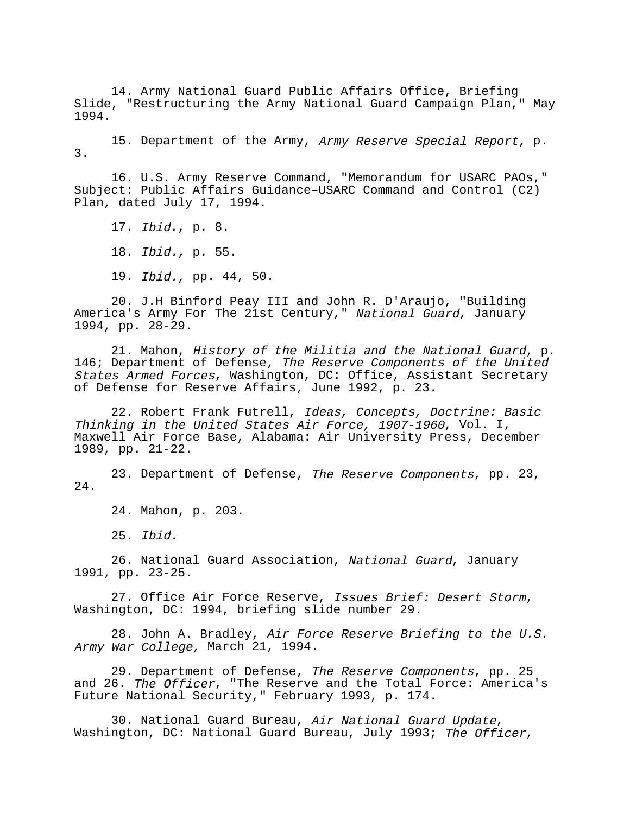14. Army National Guard Public Affairs Office, Briefing Slide, "Restructuring the Army National Guard Campaign Plan," May 1994.

15. Department of the Army, Army Reserve Special Report, p. 3.

16. U.S. Army Reserve Command, "Memorandum for USARC PAOs," Subject: Public Affairs Guidance–USARC Command and Control (C2) Plan, dated July 17, 1994.

17. Ibid., p. 8. 18. Ibid., p. 55. 19. Ibid., pp. 44, 50.

20. J.H Binford Peay III and John R. D'Araujo, "Building America's Army For The 21st Century," National Guard, January 1994, pp. 28-29.

21. Mahon, History of the Militia and the National Guard, p. 146; Department of Defense, The Reserve Components of the United States Armed Forces, Washington, DC: Office, Assistant Secretary of Defense for Reserve Affairs, June 1992, p. 23.

22. Robert Frank Futrell, Ideas, Concepts, Doctrine: Basic Thinking in the United States Air Force, 1907-1960, Vol. I, Maxwell Air Force Base, Alabama: Air University Press, December 1989, pp. 21-22.

23. Department of Defense, The Reserve Components, pp. 23, 24.

24. Mahon, p. 203.

25. Ibid.

26. National Guard Association, National Guard, January 1991, pp. 23-25.

27. Office Air Force Reserve, Issues Brief: Desert Storm, Washington, DC: 1994, briefing slide number 29.

28. John A. Bradley, Air Force Reserve Briefing to the U.S. Army War College, March 21, 1994.

29. Department of Defense, The Reserve Components, pp. 25 and 26. The Officer, "The Reserve and the Total Force: America's Future National Security," February 1993, p. 174.

30. National Guard Bureau, Air National Guard Update, Washington, DC: National Guard Bureau, July 1993; The Officer,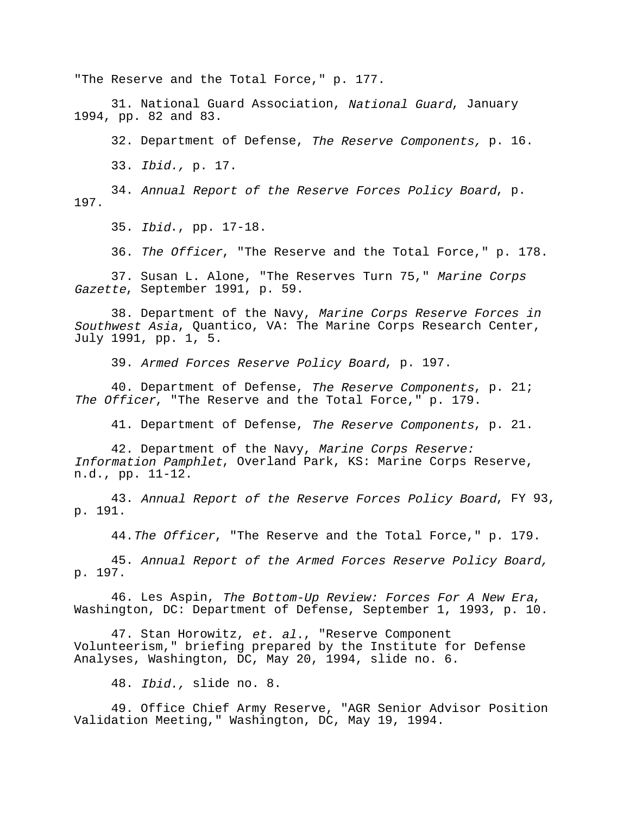"The Reserve and the Total Force," p. 177.

31. National Guard Association, National Guard, January 1994, pp. 82 and 83.

32. Department of Defense, The Reserve Components, p. 16.

33. Ibid., p. 17.

34. Annual Report of the Reserve Forces Policy Board, p. 197.

35. Ibid., pp. 17-18.

36. The Officer, "The Reserve and the Total Force," p. 178.

37. Susan L. Alone, "The Reserves Turn 75," Marine Corps Gazette, September 1991, p. 59.

38. Department of the Navy, Marine Corps Reserve Forces in Southwest Asia, Quantico, VA: The Marine Corps Research Center, July 1991, pp. 1, 5.

39. Armed Forces Reserve Policy Board, p. 197.

40. Department of Defense, The Reserve Components, p. 21; The Officer, "The Reserve and the Total Force," p. 179.

41. Department of Defense, The Reserve Components, p. 21.

42. Department of the Navy, Marine Corps Reserve: Information Pamphlet, Overland Park, KS: Marine Corps Reserve, n.d., pp. 11-12.

43. Annual Report of the Reserve Forces Policy Board, FY 93, p. 191.

44. The Officer, "The Reserve and the Total Force," p. 179.

45. Annual Report of the Armed Forces Reserve Policy Board, p. 197.

46. Les Aspin, The Bottom-Up Review: Forces For A New Era, Washington, DC: Department of Defense, September 1, 1993, p. 10.

47. Stan Horowitz, et. al., "Reserve Component Volunteerism," briefing prepared by the Institute for Defense Analyses, Washington, DC, May 20, 1994, slide no. 6.

48. Ibid., slide no. 8.

49. Office Chief Army Reserve, "AGR Senior Advisor Position Validation Meeting," Washington, DC, May 19, 1994.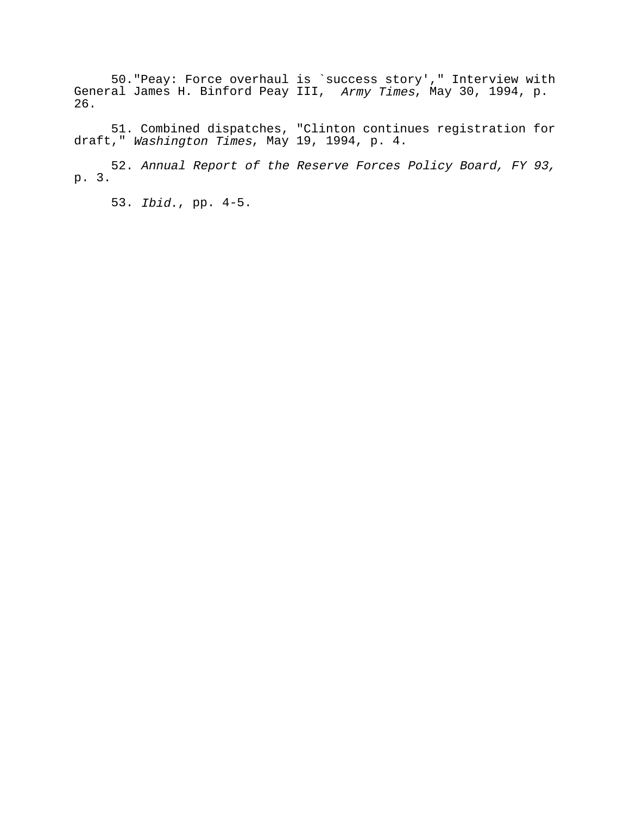50."Peay: Force overhaul is `success story'," Interview with General James H. Binford Peay III, Army Times, May 30, 1994, p. 26.

51. Combined dispatches, "Clinton continues registration for draft," Washington Times, May 19, 1994, p. 4.

52. Annual Report of the Reserve Forces Policy Board, FY 93, p. 3.

53. Ibid., pp. 4-5.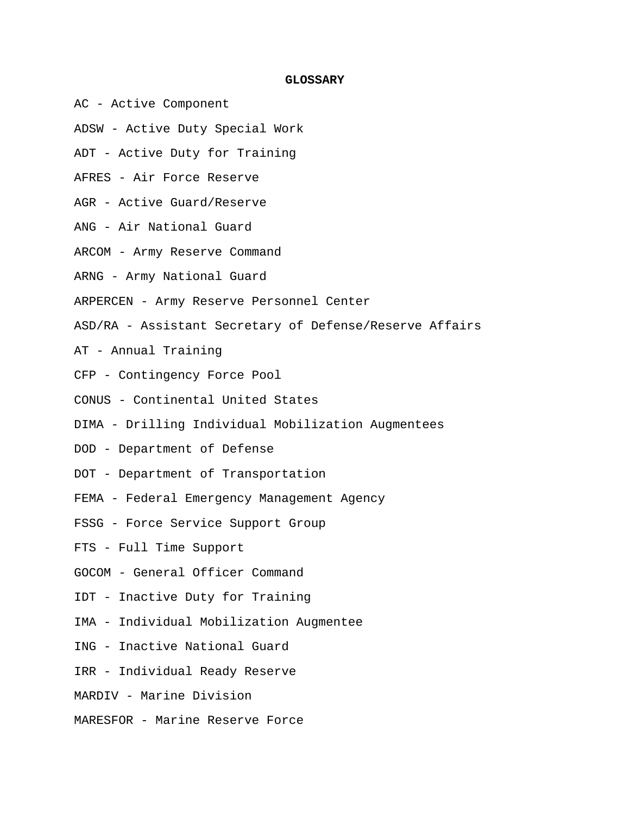## **GLOSSARY**

- AC Active Component
- ADSW Active Duty Special Work
- ADT Active Duty for Training
- AFRES Air Force Reserve
- AGR Active Guard/Reserve
- ANG Air National Guard
- ARCOM Army Reserve Command
- ARNG Army National Guard
- ARPERCEN Army Reserve Personnel Center
- ASD/RA Assistant Secretary of Defense/Reserve Affairs
- AT Annual Training
- CFP Contingency Force Pool
- CONUS Continental United States
- DIMA Drilling Individual Mobilization Augmentees
- DOD Department of Defense
- DOT Department of Transportation
- FEMA Federal Emergency Management Agency
- FSSG Force Service Support Group
- FTS Full Time Support
- GOCOM General Officer Command
- IDT Inactive Duty for Training
- IMA Individual Mobilization Augmentee
- ING Inactive National Guard
- IRR Individual Ready Reserve
- MARDIV Marine Division
- MARESFOR Marine Reserve Force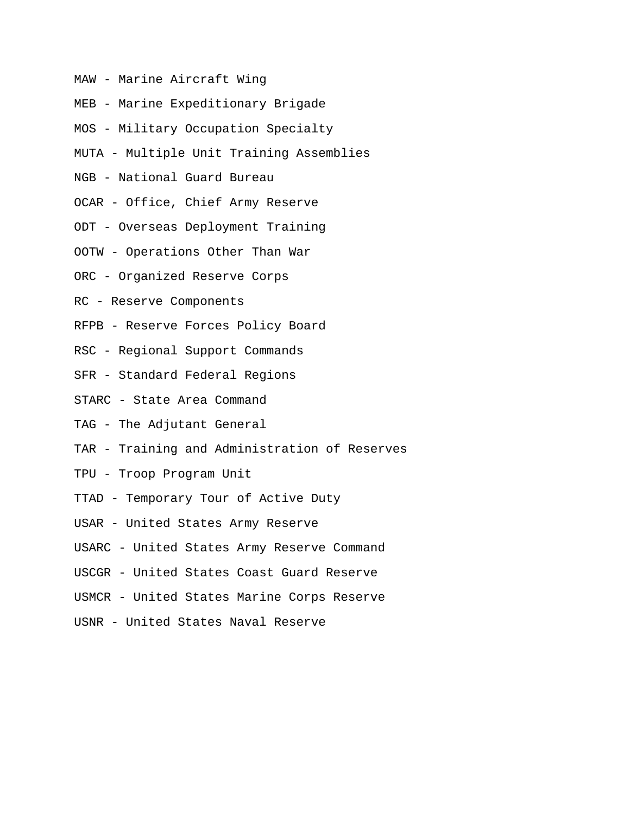- MAW Marine Aircraft Wing
- MEB Marine Expeditionary Brigade
- MOS Military Occupation Specialty
- MUTA Multiple Unit Training Assemblies
- NGB National Guard Bureau
- OCAR Office, Chief Army Reserve
- ODT Overseas Deployment Training
- OOTW Operations Other Than War
- ORC Organized Reserve Corps
- RC Reserve Components
- RFPB Reserve Forces Policy Board
- RSC Regional Support Commands
- SFR Standard Federal Regions
- STARC State Area Command
- TAG The Adjutant General
- TAR Training and Administration of Reserves
- TPU Troop Program Unit
- TTAD Temporary Tour of Active Duty
- USAR United States Army Reserve
- USARC United States Army Reserve Command
- USCGR United States Coast Guard Reserve
- USMCR United States Marine Corps Reserve
- USNR United States Naval Reserve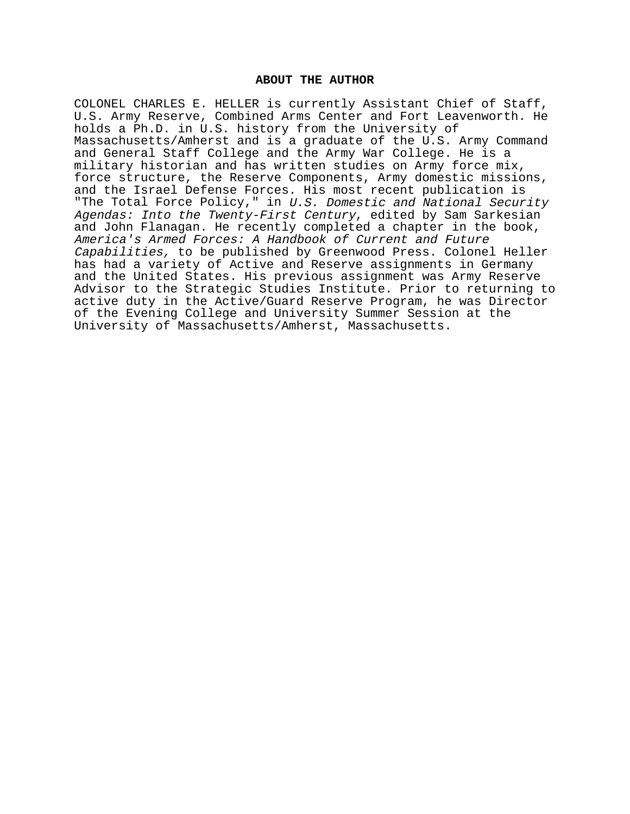## **ABOUT THE AUTHOR**

COLONEL CHARLES E. HELLER is currently Assistant Chief of Staff, U.S. Army Reserve, Combined Arms Center and Fort Leavenworth. He holds a Ph.D. in U.S. history from the University of Massachusetts/Amherst and is a graduate of the U.S. Army Command and General Staff College and the Army War College. He is a military historian and has written studies on Army force mix, force structure, the Reserve Components, Army domestic missions, and the Israel Defense Forces. His most recent publication is "The Total Force Policy," in U.S. Domestic and National Security Agendas: Into the Twenty-First Century, edited by Sam Sarkesian and John Flanagan. He recently completed a chapter in the book, America's Armed Forces: A Handbook of Current and Future Capabilities, to be published by Greenwood Press. Colonel Heller has had a variety of Active and Reserve assignments in Germany and the United States. His previous assignment was Army Reserve Advisor to the Strategic Studies Institute. Prior to returning to active duty in the Active/Guard Reserve Program, he was Director of the Evening College and University Summer Session at the University of Massachusetts/Amherst, Massachusetts.